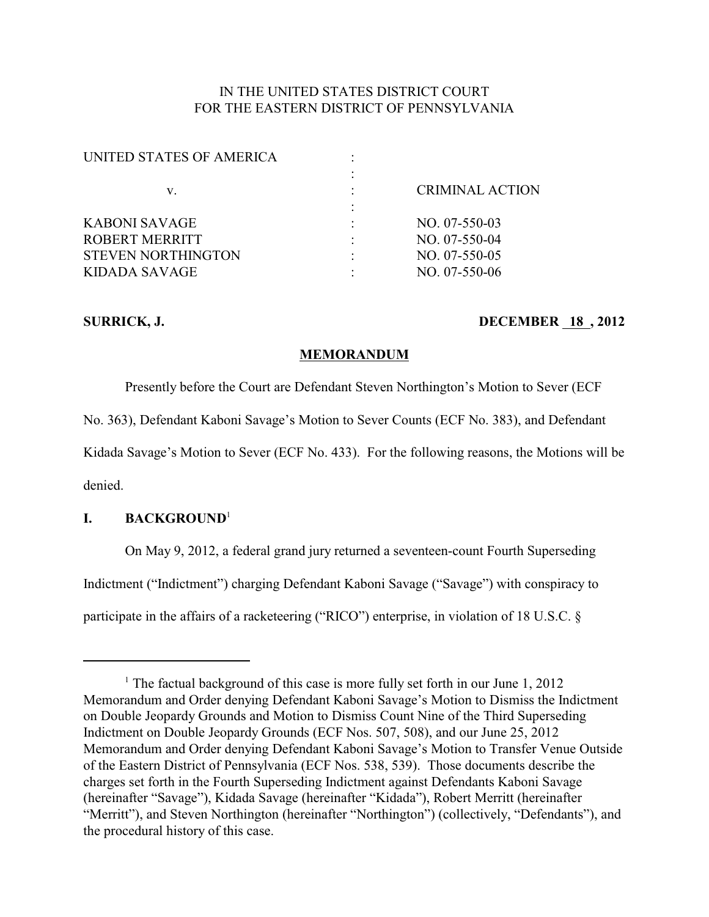## IN THE UNITED STATES DISTRICT COURT FOR THE EASTERN DISTRICT OF PENNSYLVANIA

| UNITED STATES OF AMERICA  |                        |
|---------------------------|------------------------|
|                           |                        |
| v.                        | <b>CRIMINAL ACTION</b> |
|                           |                        |
| KABONI SAVAGE             | $NO. 07-550-03$        |
| ROBERT MERRITT            | $NO. 07-550-04$        |
| <b>STEVEN NORTHINGTON</b> | $NO. 07-550-05$        |
| KIDADA SAVAGE             | NO. 07-550-06          |
|                           |                        |

## **SURRICK, J. DECEMBER 18, 2012**

### **MEMORANDUM**

Presently before the Court are Defendant Steven Northington's Motion to Sever (ECF

No. 363), Defendant Kaboni Savage's Motion to Sever Counts (ECF No. 383), and Defendant

Kidada Savage's Motion to Sever (ECF No. 433). For the following reasons, the Motions will be

denied.

## **I. BACKGROUND**<sup>1</sup>

On May 9, 2012, a federal grand jury returned a seventeen-count Fourth Superseding Indictment ("Indictment") charging Defendant Kaboni Savage ("Savage") with conspiracy to participate in the affairs of a racketeering ("RICO") enterprise, in violation of 18 U.S.C. §

<sup>&</sup>lt;sup>1</sup> The factual background of this case is more fully set forth in our June 1, 2012 Memorandum and Order denying Defendant Kaboni Savage's Motion to Dismiss the Indictment on Double Jeopardy Grounds and Motion to Dismiss Count Nine of the Third Superseding Indictment on Double Jeopardy Grounds (ECF Nos. 507, 508), and our June 25, 2012 Memorandum and Order denying Defendant Kaboni Savage's Motion to Transfer Venue Outside of the Eastern District of Pennsylvania (ECF Nos. 538, 539). Those documents describe the charges set forth in the Fourth Superseding Indictment against Defendants Kaboni Savage (hereinafter "Savage"), Kidada Savage (hereinafter "Kidada"), Robert Merritt (hereinafter "Merritt"), and Steven Northington (hereinafter "Northington") (collectively, "Defendants"), and the procedural history of this case.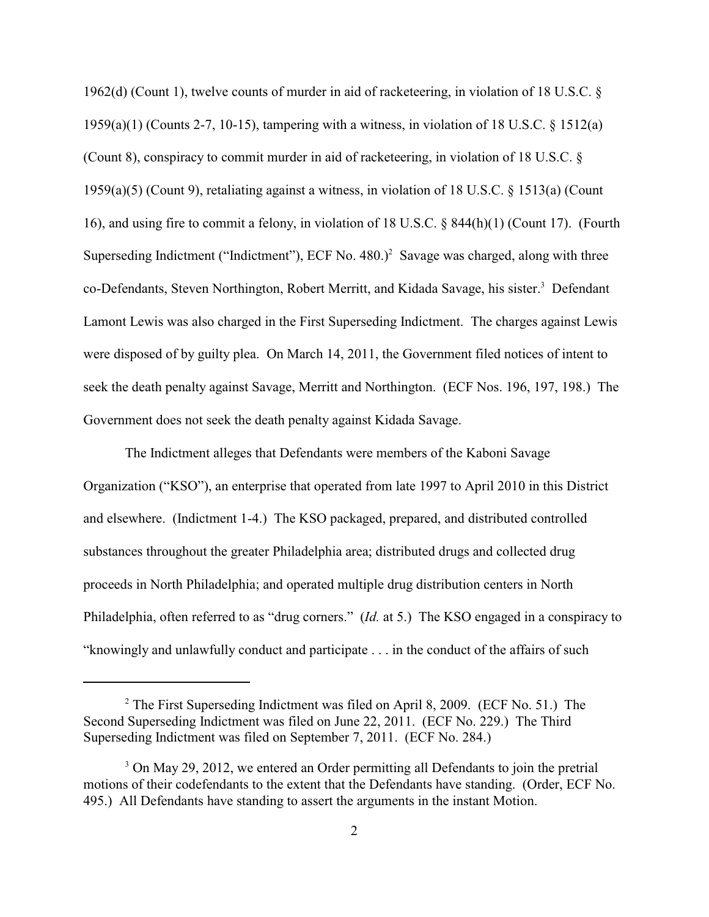1962(d) (Count 1), twelve counts of murder in aid of racketeering, in violation of 18 U.S.C. § 1959(a)(1) (Counts 2-7, 10-15), tampering with a witness, in violation of 18 U.S.C. § 1512(a) (Count 8), conspiracy to commit murder in aid of racketeering, in violation of 18 U.S.C. § 1959(a)(5) (Count 9), retaliating against a witness, in violation of 18 U.S.C. § 1513(a) (Count 16), and using fire to commit a felony, in violation of 18 U.S.C. § 844(h)(1) (Count 17). (Fourth Superseding Indictment ("Indictment"), ECF No.  $480.$ )<sup>2</sup> Savage was charged, along with three co-Defendants, Steven Northington, Robert Merritt, and Kidada Savage, his sister.<sup>3</sup> Defendant Lamont Lewis was also charged in the First Superseding Indictment. The charges against Lewis were disposed of by guilty plea. On March 14, 2011, the Government filed notices of intent to seek the death penalty against Savage, Merritt and Northington. (ECF Nos. 196, 197, 198.) The Government does not seek the death penalty against Kidada Savage.

The Indictment alleges that Defendants were members of the Kaboni Savage Organization ("KSO"), an enterprise that operated from late 1997 to April 2010 in this District and elsewhere. (Indictment 1-4.) The KSO packaged, prepared, and distributed controlled substances throughout the greater Philadelphia area; distributed drugs and collected drug proceeds in North Philadelphia; and operated multiple drug distribution centers in North Philadelphia, often referred to as "drug corners." (*Id.* at 5.) The KSO engaged in a conspiracy to "knowingly and unlawfully conduct and participate . . . in the conduct of the affairs of such

 $2$  The First Superseding Indictment was filed on April 8, 2009. (ECF No. 51.) The Second Superseding Indictment was filed on June 22, 2011. (ECF No. 229.) The Third Superseding Indictment was filed on September 7, 2011. (ECF No. 284.)

<sup>&</sup>lt;sup>3</sup> On May 29, 2012, we entered an Order permitting all Defendants to join the pretrial motions of their codefendants to the extent that the Defendants have standing. (Order, ECF No. 495.) All Defendants have standing to assert the arguments in the instant Motion.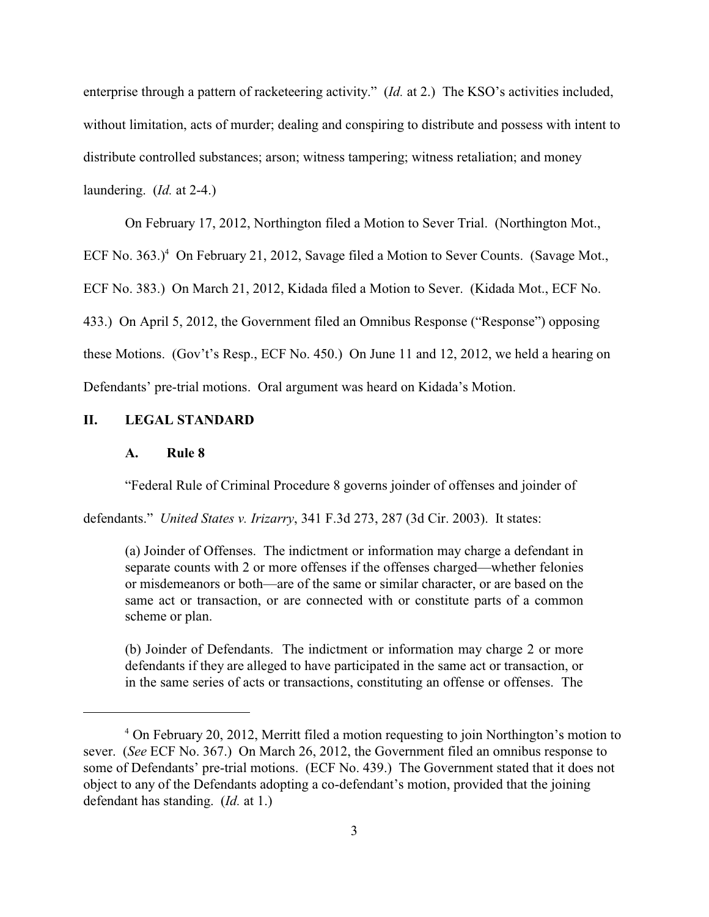enterprise through a pattern of racketeering activity." (*Id.* at 2.) The KSO's activities included, without limitation, acts of murder; dealing and conspiring to distribute and possess with intent to distribute controlled substances; arson; witness tampering; witness retaliation; and money laundering. (*Id.* at 2-4.)

On February 17, 2012, Northington filed a Motion to Sever Trial. (Northington Mot.,

ECF No.  $363.$ <sup>4</sup> On February 21, 2012, Savage filed a Motion to Sever Counts. (Savage Mot.,

ECF No. 383.) On March 21, 2012, Kidada filed a Motion to Sever. (Kidada Mot., ECF No.

433.) On April 5, 2012, the Government filed an Omnibus Response ("Response") opposing

these Motions. (Gov't's Resp., ECF No. 450.) On June 11 and 12, 2012, we held a hearing on

Defendants' pre-trial motions. Oral argument was heard on Kidada's Motion.

## **II. LEGAL STANDARD**

### **A. Rule 8**

"Federal Rule of Criminal Procedure 8 governs joinder of offenses and joinder of

defendants." *United States v. Irizarry*, 341 F.3d 273, 287 (3d Cir. 2003). It states:

(a) Joinder of Offenses. The indictment or information may charge a defendant in separate counts with 2 or more offenses if the offenses charged—whether felonies or misdemeanors or both—are of the same or similar character, or are based on the same act or transaction, or are connected with or constitute parts of a common scheme or plan.

(b) Joinder of Defendants. The indictment or information may charge 2 or more defendants if they are alleged to have participated in the same act or transaction, or in the same series of acts or transactions, constituting an offense or offenses. The

On February 20, 2012, Merritt filed a motion requesting to join Northington's motion to <sup>4</sup> sever. (*See* ECF No. 367.) On March 26, 2012, the Government filed an omnibus response to some of Defendants' pre-trial motions. (ECF No. 439.) The Government stated that it does not object to any of the Defendants adopting a co-defendant's motion, provided that the joining defendant has standing. (*Id.* at 1.)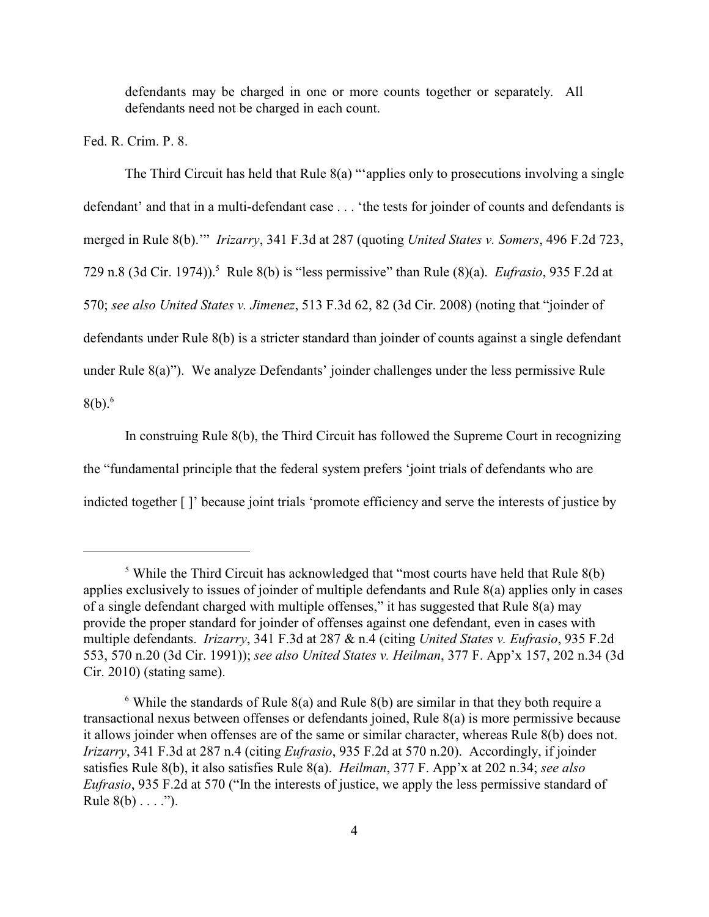defendants may be charged in one or more counts together or separately. All defendants need not be charged in each count.

Fed. R. Crim. P. 8.

The Third Circuit has held that Rule 8(a) "'applies only to prosecutions involving a single defendant' and that in a multi-defendant case . . . 'the tests for joinder of counts and defendants is merged in Rule 8(b).'" *Irizarry*, 341 F.3d at 287 (quoting *United States v. Somers*, 496 F.2d 723, 729 n.8 (3d Cir. 1974)).<sup>5</sup> Rule 8(b) is "less permissive" than Rule (8)(a). *Eufrasio*, 935 F.2d at 570; *see also United States v. Jimenez*, 513 F.3d 62, 82 (3d Cir. 2008) (noting that "joinder of defendants under Rule 8(b) is a stricter standard than joinder of counts against a single defendant under Rule 8(a)"). We analyze Defendants' joinder challenges under the less permissive Rule  $8(b).<sup>6</sup>$ 

In construing Rule 8(b), the Third Circuit has followed the Supreme Court in recognizing the "fundamental principle that the federal system prefers 'joint trials of defendants who are indicted together [ ]' because joint trials 'promote efficiency and serve the interests of justice by

<sup>&</sup>lt;sup>5</sup> While the Third Circuit has acknowledged that "most courts have held that Rule  $8(b)$ applies exclusively to issues of joinder of multiple defendants and Rule 8(a) applies only in cases of a single defendant charged with multiple offenses," it has suggested that Rule 8(a) may provide the proper standard for joinder of offenses against one defendant, even in cases with multiple defendants. *Irizarry*, 341 F.3d at 287 & n.4 (citing *United States v. Eufrasio*, 935 F.2d 553, 570 n.20 (3d Cir. 1991)); *see also United States v. Heilman*, 377 F. App'x 157, 202 n.34 (3d Cir. 2010) (stating same).

 $\delta$  While the standards of Rule 8(a) and Rule 8(b) are similar in that they both require a transactional nexus between offenses or defendants joined, Rule 8(a) is more permissive because it allows joinder when offenses are of the same or similar character, whereas Rule 8(b) does not. *Irizarry*, 341 F.3d at 287 n.4 (citing *Eufrasio*, 935 F.2d at 570 n.20). Accordingly, if joinder satisfies Rule 8(b), it also satisfies Rule 8(a). *Heilman*, 377 F. App'x at 202 n.34; *see also Eufrasio*, 935 F.2d at 570 ("In the interests of justice, we apply the less permissive standard of Rule  $8(b) \ldots$ .").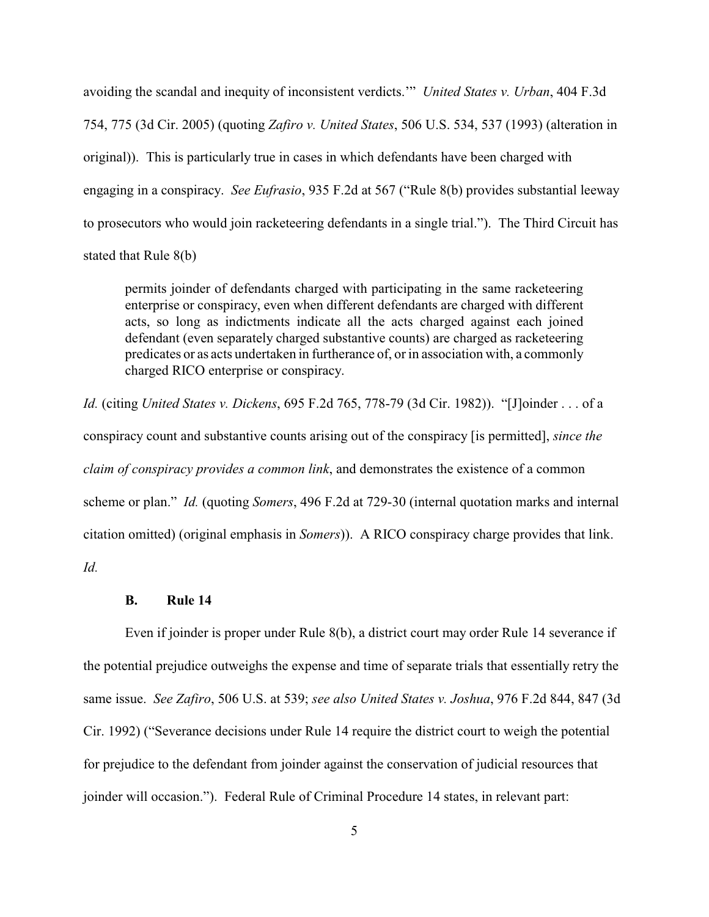avoiding the scandal and inequity of inconsistent verdicts.'" *United States v. Urban*, 404 F.3d 754, 775 (3d Cir. 2005) (quoting *Zafiro v. United States*, 506 U.S. 534, 537 (1993) (alteration in original)). This is particularly true in cases in which defendants have been charged with engaging in a conspiracy. *See Eufrasio*, 935 F.2d at 567 ("Rule 8(b) provides substantial leeway to prosecutors who would join racketeering defendants in a single trial."). The Third Circuit has stated that Rule 8(b)

permits joinder of defendants charged with participating in the same racketeering enterprise or conspiracy, even when different defendants are charged with different acts, so long as indictments indicate all the acts charged against each joined defendant (even separately charged substantive counts) are charged as racketeering predicates or as acts undertaken in furtherance of, or in association with, a commonly charged RICO enterprise or conspiracy.

*Id.* (citing *United States v. Dickens*, 695 F.2d 765, 778-79 (3d Cir. 1982)). "[J]oinder . . . of a conspiracy count and substantive counts arising out of the conspiracy [is permitted], *since the claim of conspiracy provides a common link*, and demonstrates the existence of a common scheme or plan." *Id.* (quoting *Somers*, 496 F.2d at 729-30 (internal quotation marks and internal citation omitted) (original emphasis in *Somers*)). A RICO conspiracy charge provides that link. *Id.*

#### **B. Rule 14**

Even if joinder is proper under Rule 8(b), a district court may order Rule 14 severance if the potential prejudice outweighs the expense and time of separate trials that essentially retry the same issue. *See Zafiro*, 506 U.S. at 539; *see also United States v. Joshua*, 976 F.2d 844, 847 (3d Cir. 1992) ("Severance decisions under Rule 14 require the district court to weigh the potential for prejudice to the defendant from joinder against the conservation of judicial resources that joinder will occasion."). Federal Rule of Criminal Procedure 14 states, in relevant part: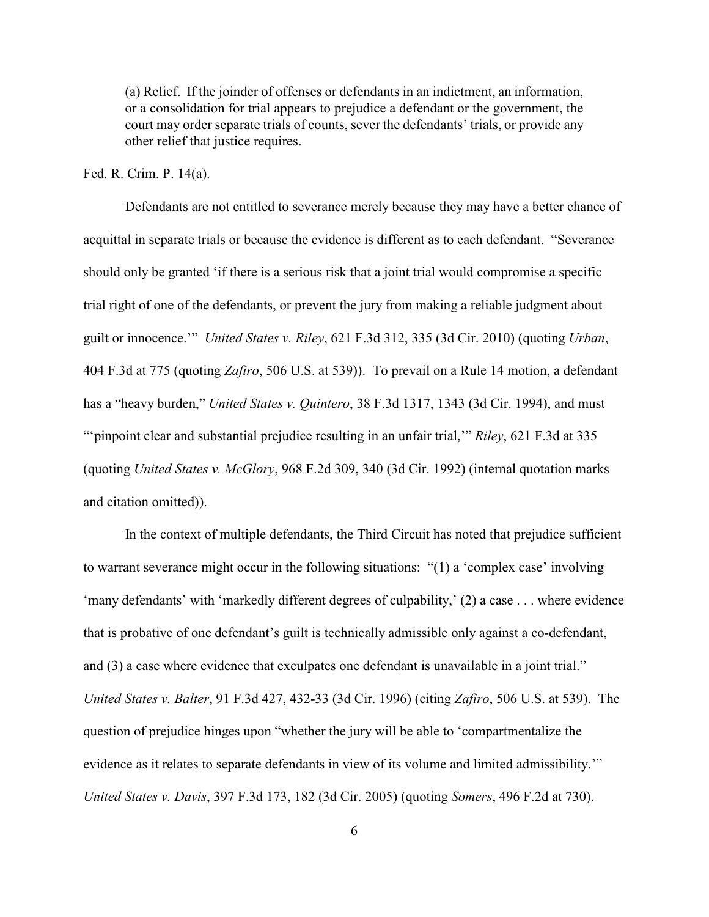(a) Relief. If the joinder of offenses or defendants in an indictment, an information, or a consolidation for trial appears to prejudice a defendant or the government, the court may order separate trials of counts, sever the defendants' trials, or provide any other relief that justice requires.

#### Fed. R. Crim. P. 14(a).

Defendants are not entitled to severance merely because they may have a better chance of acquittal in separate trials or because the evidence is different as to each defendant. "Severance should only be granted 'if there is a serious risk that a joint trial would compromise a specific trial right of one of the defendants, or prevent the jury from making a reliable judgment about guilt or innocence.'" *United States v. Riley*, 621 F.3d 312, 335 (3d Cir. 2010) (quoting *Urban*, 404 F.3d at 775 (quoting *Zafiro*, 506 U.S. at 539)). To prevail on a Rule 14 motion, a defendant has a "heavy burden," *United States v. Quintero*, 38 F.3d 1317, 1343 (3d Cir. 1994), and must ""pinpoint clear and substantial prejudice resulting in an unfair trial," *Riley*, 621 F.3d at 335 (quoting *United States v. McGlory*, 968 F.2d 309, 340 (3d Cir. 1992) (internal quotation marks and citation omitted)).

In the context of multiple defendants, the Third Circuit has noted that prejudice sufficient to warrant severance might occur in the following situations: "(1) a 'complex case' involving 'many defendants' with 'markedly different degrees of culpability,' (2) a case . . . where evidence that is probative of one defendant's guilt is technically admissible only against a co-defendant, and (3) a case where evidence that exculpates one defendant is unavailable in a joint trial." *United States v. Balter*, 91 F.3d 427, 432-33 (3d Cir. 1996) (citing *Zafiro*, 506 U.S. at 539). The question of prejudice hinges upon "whether the jury will be able to 'compartmentalize the evidence as it relates to separate defendants in view of its volume and limited admissibility.'" *United States v. Davis*, 397 F.3d 173, 182 (3d Cir. 2005) (quoting *Somers*, 496 F.2d at 730).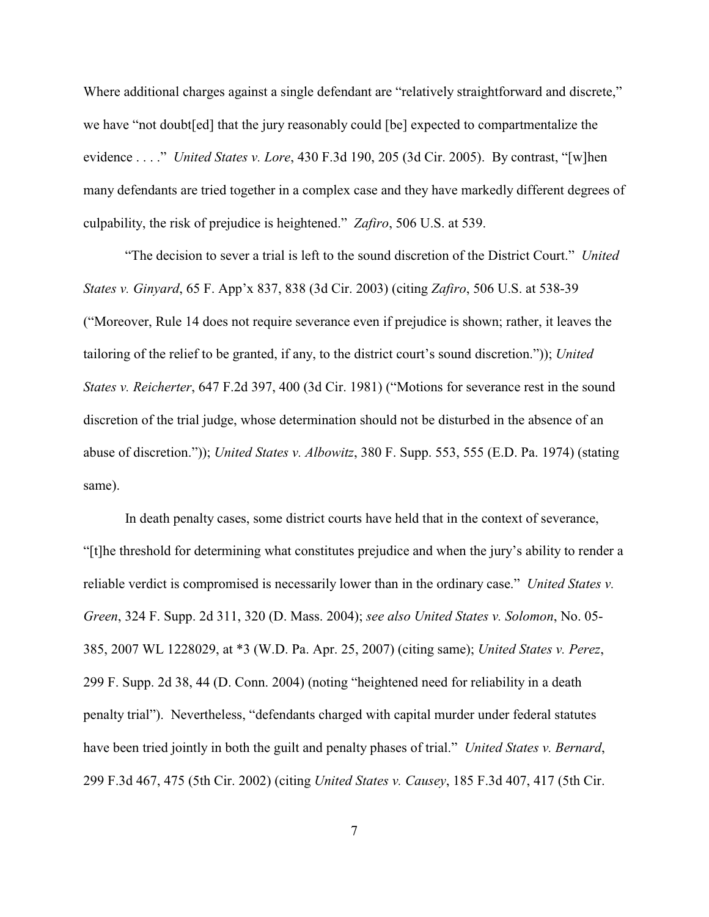Where additional charges against a single defendant are "relatively straightforward and discrete," we have "not doubt[ed] that the jury reasonably could [be] expected to compartmentalize the evidence . . . ." *United States v. Lore*, 430 F.3d 190, 205 (3d Cir. 2005). By contrast, "[w]hen many defendants are tried together in a complex case and they have markedly different degrees of culpability, the risk of prejudice is heightened." *Zafiro*, 506 U.S. at 539.

"The decision to sever a trial is left to the sound discretion of the District Court." *United States v. Ginyard*, 65 F. App'x 837, 838 (3d Cir. 2003) (citing *Zafiro*, 506 U.S. at 538-39 ("Moreover, Rule 14 does not require severance even if prejudice is shown; rather, it leaves the tailoring of the relief to be granted, if any, to the district court's sound discretion.")); *United States v. Reicherter*, 647 F.2d 397, 400 (3d Cir. 1981) ("Motions for severance rest in the sound discretion of the trial judge, whose determination should not be disturbed in the absence of an abuse of discretion.")); *United States v. Albowitz*, 380 F. Supp. 553, 555 (E.D. Pa. 1974) (stating same).

In death penalty cases, some district courts have held that in the context of severance, "[t]he threshold for determining what constitutes prejudice and when the jury's ability to render a reliable verdict is compromised is necessarily lower than in the ordinary case." *United States v. Green*, 324 F. Supp. 2d 311, 320 (D. Mass. 2004); *see also United States v. Solomon*, No. 05- 385, 2007 WL 1228029, at \*3 (W.D. Pa. Apr. 25, 2007) (citing same); *United States v. Perez*, 299 F. Supp. 2d 38, 44 (D. Conn. 2004) (noting "heightened need for reliability in a death penalty trial"). Nevertheless, "defendants charged with capital murder under federal statutes have been tried jointly in both the guilt and penalty phases of trial." *United States v. Bernard*, 299 F.3d 467, 475 (5th Cir. 2002) (citing *United States v. Causey*, 185 F.3d 407, 417 (5th Cir.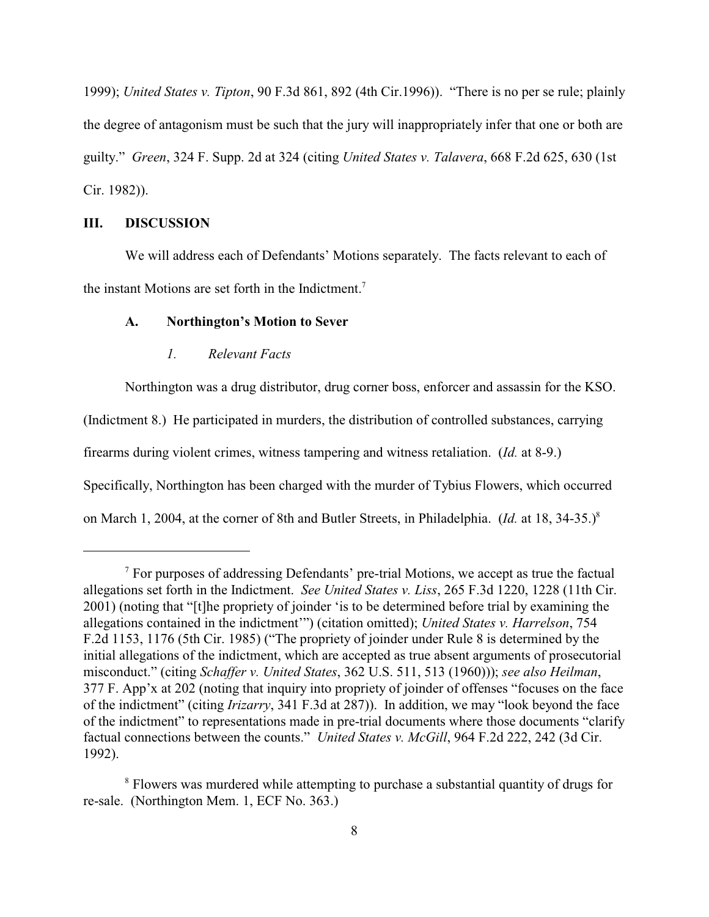1999); *United States v. Tipton*, 90 F.3d 861, 892 (4th Cir.1996)). "There is no per se rule; plainly the degree of antagonism must be such that the jury will inappropriately infer that one or both are guilty." *Green*, 324 F. Supp. 2d at 324 (citing *United States v. Talavera*, 668 F.2d 625, 630 (1st Cir. 1982)).

### **III. DISCUSSION**

We will address each of Defendants' Motions separately. The facts relevant to each of the instant Motions are set forth in the Indictment.<sup>7</sup>

#### **A. Northington's Motion to Sever**

#### *1. Relevant Facts*

Northington was a drug distributor, drug corner boss, enforcer and assassin for the KSO. (Indictment 8.) He participated in murders, the distribution of controlled substances, carrying firearms during violent crimes, witness tampering and witness retaliation. (*Id.* at 8-9.) Specifically, Northington has been charged with the murder of Tybius Flowers, which occurred on March 1, 2004, at the corner of 8th and Butler Streets, in Philadelphia. (*Id.* at 18, 34-35.)<sup>8</sup>

 $\alpha$ <sup>7</sup> For purposes of addressing Defendants' pre-trial Motions, we accept as true the factual allegations set forth in the Indictment. *See United States v. Liss*, 265 F.3d 1220, 1228 (11th Cir. 2001) (noting that "[t]he propriety of joinder 'is to be determined before trial by examining the allegations contained in the indictment'") (citation omitted); *United States v. Harrelson*, 754 F.2d 1153, 1176 (5th Cir. 1985) ("The propriety of joinder under Rule 8 is determined by the initial allegations of the indictment, which are accepted as true absent arguments of prosecutorial misconduct." (citing *Schaffer v. United States*, 362 U.S. 511, 513 (1960))); *see also Heilman*, 377 F. App'x at 202 (noting that inquiry into propriety of joinder of offenses "focuses on the face of the indictment" (citing *Irizarry*, 341 F.3d at 287)). In addition, we may "look beyond the face of the indictment" to representations made in pre-trial documents where those documents "clarify factual connections between the counts." *United States v. McGill*, 964 F.2d 222, 242 (3d Cir. 1992).

<sup>&</sup>lt;sup>8</sup> Flowers was murdered while attempting to purchase a substantial quantity of drugs for re-sale. (Northington Mem. 1, ECF No. 363.)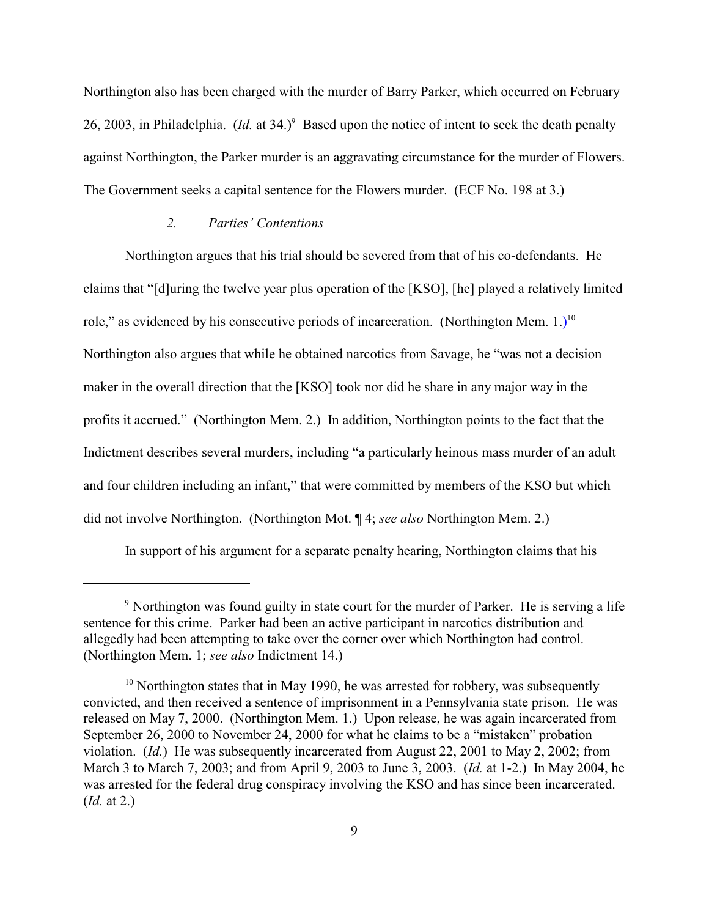Northington also has been charged with the murder of Barry Parker, which occurred on February 26, 2003, in Philadelphia. (*Id.* at  $34.$ )<sup>9</sup> Based upon the notice of intent to seek the death penalty against Northington, the Parker murder is an aggravating circumstance for the murder of Flowers. The Government seeks a capital sentence for the Flowers murder. (ECF No. 198 at 3.)

## *2. Parties' Contentions*

Northington argues that his trial should be severed from that of his co-defendants. He claims that "[d]uring the twelve year plus operation of the [KSO], [he] played a relatively limited role," as evidenced by his consecutive periods of incarceration. (Northington Mem.  $1.$ )<sup>10</sup> Northington also argues that while he obtained narcotics from Savage, he "was not a decision maker in the overall direction that the [KSO] took nor did he share in any major way in the profits it accrued." (Northington Mem. 2.) In addition, Northington points to the fact that the Indictment describes several murders, including "a particularly heinous mass murder of an adult and four children including an infant," that were committed by members of the KSO but which did not involve Northington. (Northington Mot. ¶ 4; *see also* Northington Mem. 2.)

In support of his argument for a separate penalty hearing, Northington claims that his

<sup>&</sup>lt;sup>9</sup> Northington was found guilty in state court for the murder of Parker. He is serving a life sentence for this crime. Parker had been an active participant in narcotics distribution and allegedly had been attempting to take over the corner over which Northington had control. (Northington Mem. 1; *see also* Indictment 14.)

 $10$  Northington states that in May 1990, he was arrested for robbery, was subsequently convicted, and then received a sentence of imprisonment in a Pennsylvania state prison. He was released on May 7, 2000. (Northington Mem. 1.) Upon release, he was again incarcerated from September 26, 2000 to November 24, 2000 for what he claims to be a "mistaken" probation violation. (*Id.*) He was subsequently incarcerated from August 22, 2001 to May 2, 2002; from March 3 to March 7, 2003; and from April 9, 2003 to June 3, 2003. (*Id.* at 1-2.) In May 2004, he was arrested for the federal drug conspiracy involving the KSO and has since been incarcerated. (*Id.* at 2.)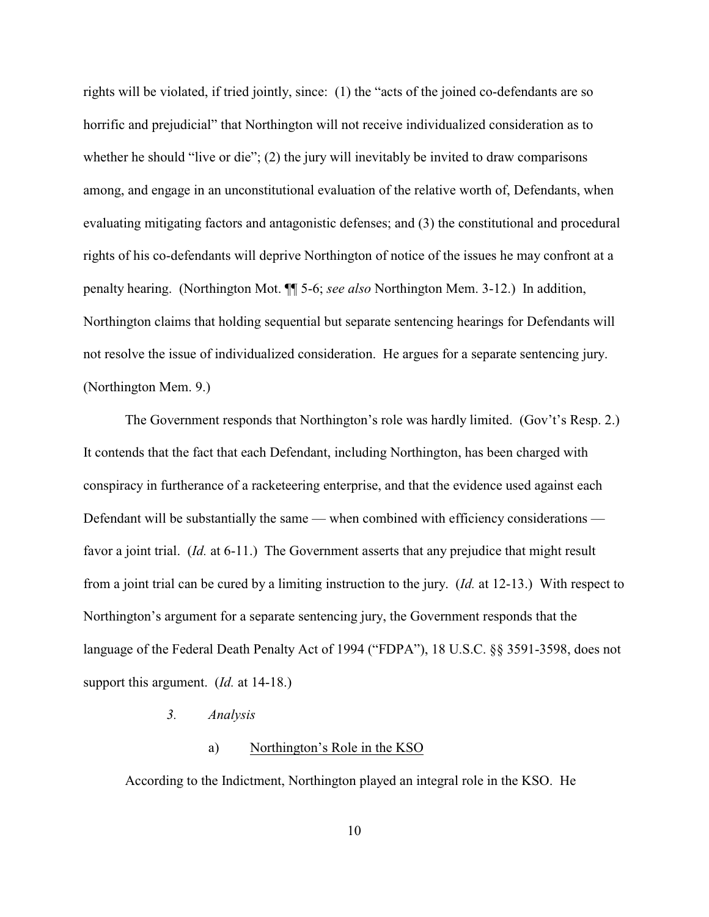rights will be violated, if tried jointly, since: (1) the "acts of the joined co-defendants are so horrific and prejudicial" that Northington will not receive individualized consideration as to whether he should "live or die"; (2) the jury will inevitably be invited to draw comparisons among, and engage in an unconstitutional evaluation of the relative worth of, Defendants, when evaluating mitigating factors and antagonistic defenses; and (3) the constitutional and procedural rights of his co-defendants will deprive Northington of notice of the issues he may confront at a penalty hearing. (Northington Mot. ¶¶ 5-6; *see also* Northington Mem. 3-12.) In addition, Northington claims that holding sequential but separate sentencing hearings for Defendants will not resolve the issue of individualized consideration. He argues for a separate sentencing jury. (Northington Mem. 9.)

The Government responds that Northington's role was hardly limited. (Gov't's Resp. 2.) It contends that the fact that each Defendant, including Northington, has been charged with conspiracy in furtherance of a racketeering enterprise, and that the evidence used against each Defendant will be substantially the same — when combined with efficiency considerations favor a joint trial. (*Id.* at 6-11.) The Government asserts that any prejudice that might result from a joint trial can be cured by a limiting instruction to the jury. (*Id.* at 12-13.) With respect to Northington's argument for a separate sentencing jury, the Government responds that the language of the Federal Death Penalty Act of 1994 ("FDPA"), 18 U.S.C. §§ 3591-3598, does not support this argument. (*Id.* at 14-18.)

## *3. Analysis*

## a) Northington's Role in the KSO

According to the Indictment, Northington played an integral role in the KSO. He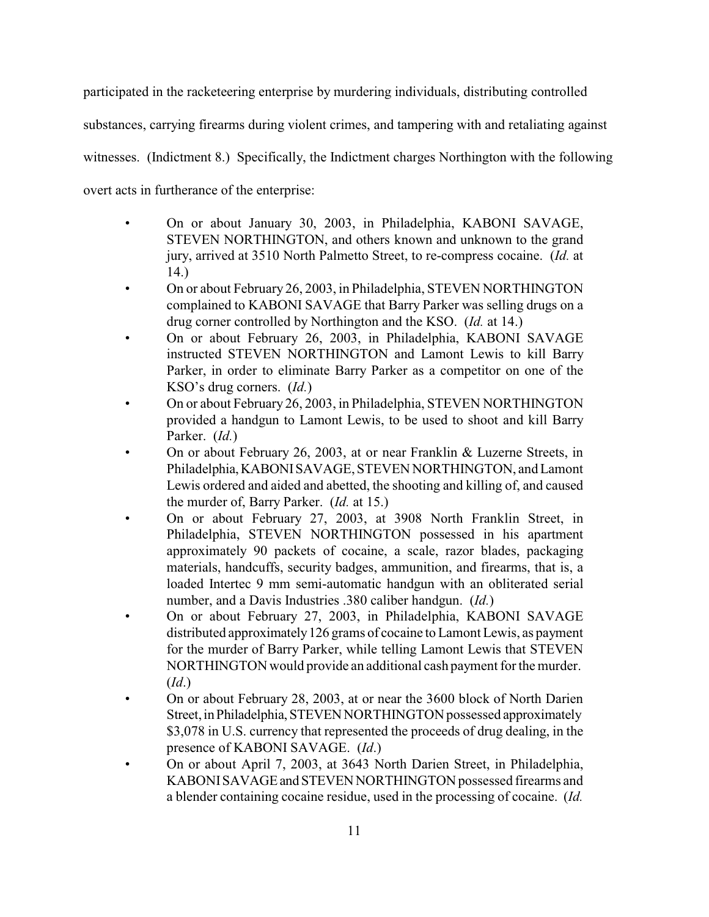participated in the racketeering enterprise by murdering individuals, distributing controlled

substances, carrying firearms during violent crimes, and tampering with and retaliating against

witnesses. (Indictment 8.) Specifically, the Indictment charges Northington with the following

overt acts in furtherance of the enterprise:

- On or about January 30, 2003, in Philadelphia, KABONI SAVAGE, STEVEN NORTHINGTON, and others known and unknown to the grand jury, arrived at 3510 North Palmetto Street, to re-compress cocaine. (*Id.* at 14.)
- On or about February 26, 2003, in Philadelphia, STEVEN NORTHINGTON complained to KABONI SAVAGE that Barry Parker was selling drugs on a drug corner controlled by Northington and the KSO. (*Id.* at 14.)
- On or about February 26, 2003, in Philadelphia, KABONI SAVAGE instructed STEVEN NORTHINGTON and Lamont Lewis to kill Barry Parker, in order to eliminate Barry Parker as a competitor on one of the KSO's drug corners. (*Id.*)
- On or about February 26, 2003, in Philadelphia, STEVEN NORTHINGTON provided a handgun to Lamont Lewis, to be used to shoot and kill Barry Parker. (*Id.*)
- On or about February 26, 2003, at or near Franklin & Luzerne Streets, in Philadelphia,KABONISAVAGE, STEVEN NORTHINGTON, and Lamont Lewis ordered and aided and abetted, the shooting and killing of, and caused the murder of, Barry Parker. (*Id.* at 15.)
- On or about February 27, 2003, at 3908 North Franklin Street, in Philadelphia, STEVEN NORTHINGTON possessed in his apartment approximately 90 packets of cocaine, a scale, razor blades, packaging materials, handcuffs, security badges, ammunition, and firearms, that is, a loaded Intertec 9 mm semi-automatic handgun with an obliterated serial number, and a Davis Industries .380 caliber handgun. (*Id.*)
- On or about February 27, 2003, in Philadelphia, KABONI SAVAGE distributed approximately126 grams of cocaine to Lamont Lewis, as payment for the murder of Barry Parker, while telling Lamont Lewis that STEVEN NORTHINGTON would provide an additional cash payment for the murder. (*Id*.)
- On or about February 28, 2003, at or near the 3600 block of North Darien Street, in Philadelphia, STEVEN NORTHINGTON possessed approximately \$3,078 in U.S. currency that represented the proceeds of drug dealing, in the presence of KABONI SAVAGE. (*Id*.)
- On or about April 7, 2003, at 3643 North Darien Street, in Philadelphia, KABONI SAVAGE and STEVEN NORTHINGTON possessed firearms and a blender containing cocaine residue, used in the processing of cocaine. (*Id.*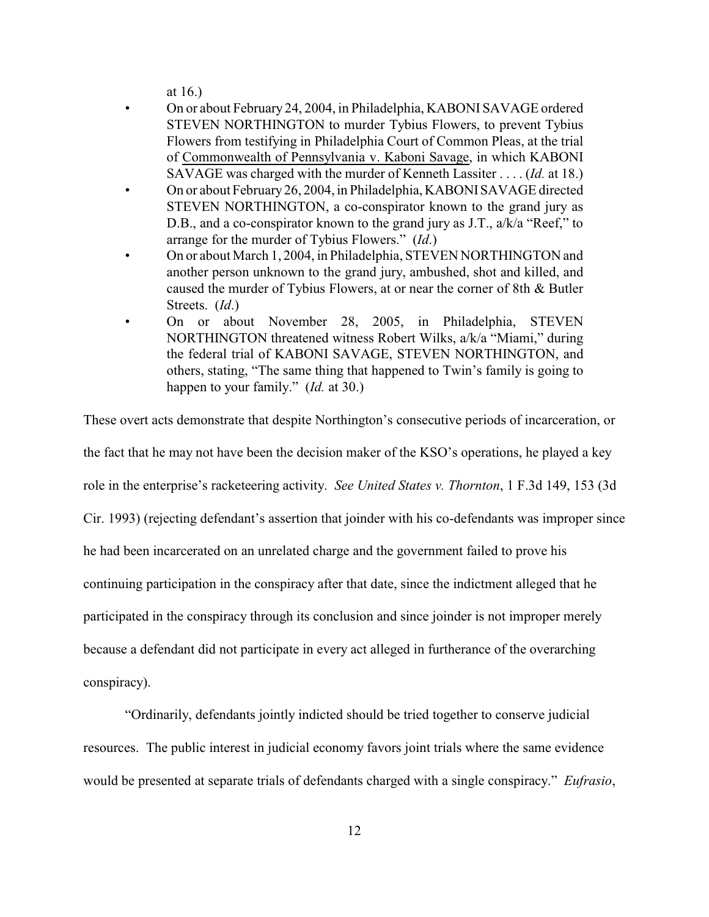at 16.)

- On or about February 24, 2004, in Philadelphia, KABONI SAVAGE ordered STEVEN NORTHINGTON to murder Tybius Flowers, to prevent Tybius Flowers from testifying in Philadelphia Court of Common Pleas, at the trial of Commonwealth of Pennsylvania v. Kaboni Savage, in which KABONI SAVAGE was charged with the murder of Kenneth Lassiter . . . . (*Id.* at 18.)
- On or about February26, 2004, in Philadelphia, KABONISAVAGE directed STEVEN NORTHINGTON, a co-conspirator known to the grand jury as D.B., and a co-conspirator known to the grand jury as J.T., a/k/a "Reef," to arrange for the murder of Tybius Flowers." (*Id*.)
- On or about March 1, 2004, in Philadelphia, STEVEN NORTHINGTON and another person unknown to the grand jury, ambushed, shot and killed, and caused the murder of Tybius Flowers, at or near the corner of 8th & Butler Streets. (*Id*.)
- On or about November 28, 2005, in Philadelphia, STEVEN NORTHINGTON threatened witness Robert Wilks, a/k/a "Miami," during the federal trial of KABONI SAVAGE, STEVEN NORTHINGTON, and others, stating, "The same thing that happened to Twin's family is going to happen to your family." (*Id.* at 30.)

These overt acts demonstrate that despite Northington's consecutive periods of incarceration, or the fact that he may not have been the decision maker of the KSO's operations, he played a key role in the enterprise's racketeering activity. *See United States v. Thornton*, 1 F.3d 149, 153 (3d Cir. 1993) (rejecting defendant's assertion that joinder with his co-defendants was improper since he had been incarcerated on an unrelated charge and the government failed to prove his continuing participation in the conspiracy after that date, since the indictment alleged that he participated in the conspiracy through its conclusion and since joinder is not improper merely because a defendant did not participate in every act alleged in furtherance of the overarching conspiracy).

"Ordinarily, defendants jointly indicted should be tried together to conserve judicial resources. The public interest in judicial economy favors joint trials where the same evidence would be presented at separate trials of defendants charged with a single conspiracy." *Eufrasio*,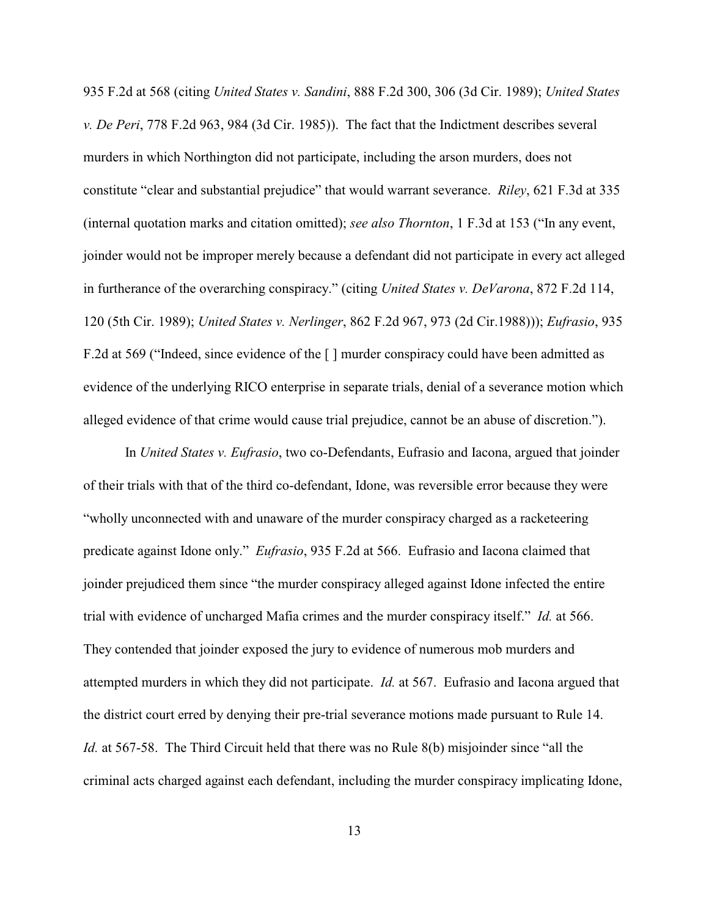935 F.2d at 568 (citing *United States v. Sandini*, 888 F.2d 300, 306 (3d Cir. 1989); *United States v. De Peri*, 778 F.2d 963, 984 (3d Cir. 1985)). The fact that the Indictment describes several murders in which Northington did not participate, including the arson murders, does not constitute "clear and substantial prejudice" that would warrant severance. *Riley*, 621 F.3d at 335 (internal quotation marks and citation omitted); *see also Thornton*, 1 F.3d at 153 ("In any event, joinder would not be improper merely because a defendant did not participate in every act alleged in furtherance of the overarching conspiracy." (citing *United States v. DeVarona*, 872 F.2d 114, 120 (5th Cir. 1989); *United States v. Nerlinger*, 862 F.2d 967, 973 (2d Cir.1988))); *Eufrasio*, 935 F.2d at 569 ("Indeed, since evidence of the [] murder conspiracy could have been admitted as evidence of the underlying RICO enterprise in separate trials, denial of a severance motion which alleged evidence of that crime would cause trial prejudice, cannot be an abuse of discretion.").

In *United States v. Eufrasio*, two co-Defendants, Eufrasio and Iacona, argued that joinder of their trials with that of the third co-defendant, Idone, was reversible error because they were "wholly unconnected with and unaware of the murder conspiracy charged as a racketeering predicate against Idone only." *Eufrasio*, 935 F.2d at 566. Eufrasio and Iacona claimed that joinder prejudiced them since "the murder conspiracy alleged against Idone infected the entire trial with evidence of uncharged Mafia crimes and the murder conspiracy itself." *Id.* at 566. They contended that joinder exposed the jury to evidence of numerous mob murders and attempted murders in which they did not participate. *Id.* at 567. Eufrasio and Iacona argued that the district court erred by denying their pre-trial severance motions made pursuant to Rule 14. *Id.* at 567-58. The Third Circuit held that there was no Rule 8(b) misjoinder since "all the criminal acts charged against each defendant, including the murder conspiracy implicating Idone,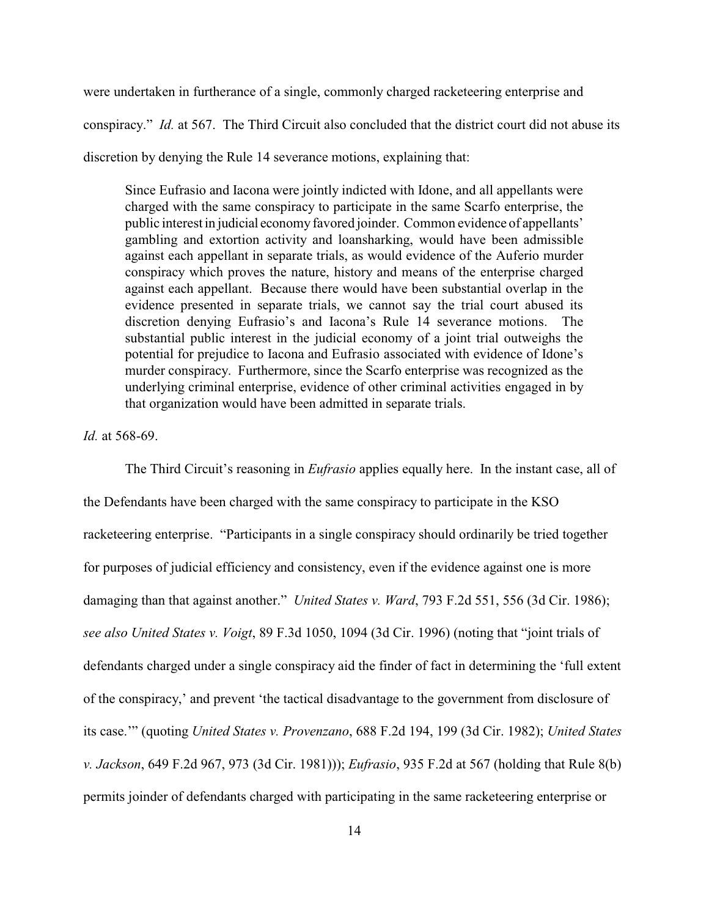were undertaken in furtherance of a single, commonly charged racketeering enterprise and conspiracy." *Id.* at 567. The Third Circuit also concluded that the district court did not abuse its discretion by denying the Rule 14 severance motions, explaining that:

Since Eufrasio and Iacona were jointly indicted with Idone, and all appellants were charged with the same conspiracy to participate in the same Scarfo enterprise, the public interest in judicial economyfavored joinder. Common evidence of appellants' gambling and extortion activity and loansharking, would have been admissible against each appellant in separate trials, as would evidence of the Auferio murder conspiracy which proves the nature, history and means of the enterprise charged against each appellant. Because there would have been substantial overlap in the evidence presented in separate trials, we cannot say the trial court abused its discretion denying Eufrasio's and Iacona's Rule 14 severance motions. The substantial public interest in the judicial economy of a joint trial outweighs the potential for prejudice to Iacona and Eufrasio associated with evidence of Idone's murder conspiracy. Furthermore, since the Scarfo enterprise was recognized as the underlying criminal enterprise, evidence of other criminal activities engaged in by that organization would have been admitted in separate trials.

#### *Id.* at 568-69.

The Third Circuit's reasoning in *Eufrasio* applies equally here. In the instant case, all of the Defendants have been charged with the same conspiracy to participate in the KSO racketeering enterprise. "Participants in a single conspiracy should ordinarily be tried together for purposes of judicial efficiency and consistency, even if the evidence against one is more damaging than that against another." *United States v. Ward*, 793 F.2d 551, 556 (3d Cir. 1986); *see also United States v. Voigt*, 89 F.3d 1050, 1094 (3d Cir. 1996) (noting that "joint trials of defendants charged under a single conspiracy aid the finder of fact in determining the 'full extent of the conspiracy,' and prevent 'the tactical disadvantage to the government from disclosure of its case.'" (quoting *United States v. Provenzano*, 688 F.2d 194, 199 (3d Cir. 1982); *United States v. Jackson*, 649 F.2d 967, 973 (3d Cir. 1981))); *Eufrasio*, 935 F.2d at 567 (holding that Rule 8(b) permits joinder of defendants charged with participating in the same racketeering enterprise or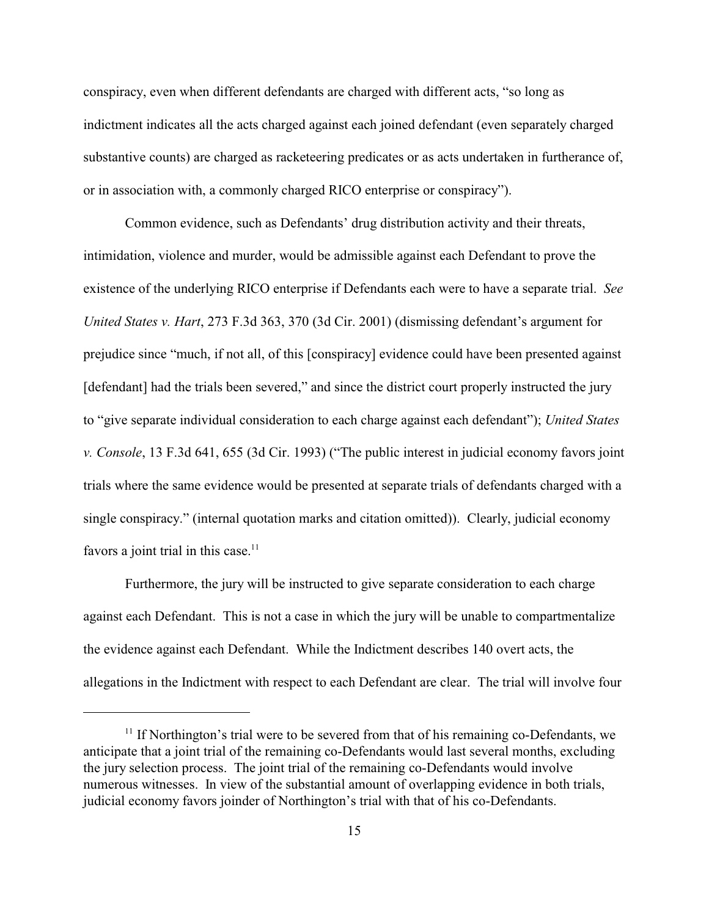conspiracy, even when different defendants are charged with different acts, "so long as indictment indicates all the acts charged against each joined defendant (even separately charged substantive counts) are charged as racketeering predicates or as acts undertaken in furtherance of, or in association with, a commonly charged RICO enterprise or conspiracy").

Common evidence, such as Defendants' drug distribution activity and their threats, intimidation, violence and murder, would be admissible against each Defendant to prove the existence of the underlying RICO enterprise if Defendants each were to have a separate trial. *See United States v. Hart*, 273 F.3d 363, 370 (3d Cir. 2001) (dismissing defendant's argument for prejudice since "much, if not all, of this [conspiracy] evidence could have been presented against [defendant] had the trials been severed," and since the district court properly instructed the jury to "give separate individual consideration to each charge against each defendant"); *United States v. Console*, 13 F.3d 641, 655 (3d Cir. 1993) ("The public interest in judicial economy favors joint trials where the same evidence would be presented at separate trials of defendants charged with a single conspiracy." (internal quotation marks and citation omitted)). Clearly, judicial economy favors a joint trial in this case.<sup>11</sup>

Furthermore, the jury will be instructed to give separate consideration to each charge against each Defendant. This is not a case in which the jury will be unable to compartmentalize the evidence against each Defendant. While the Indictment describes 140 overt acts, the allegations in the Indictment with respect to each Defendant are clear. The trial will involve four

 $11$  If Northington's trial were to be severed from that of his remaining co-Defendants, we anticipate that a joint trial of the remaining co-Defendants would last several months, excluding the jury selection process. The joint trial of the remaining co-Defendants would involve numerous witnesses. In view of the substantial amount of overlapping evidence in both trials, judicial economy favors joinder of Northington's trial with that of his co-Defendants.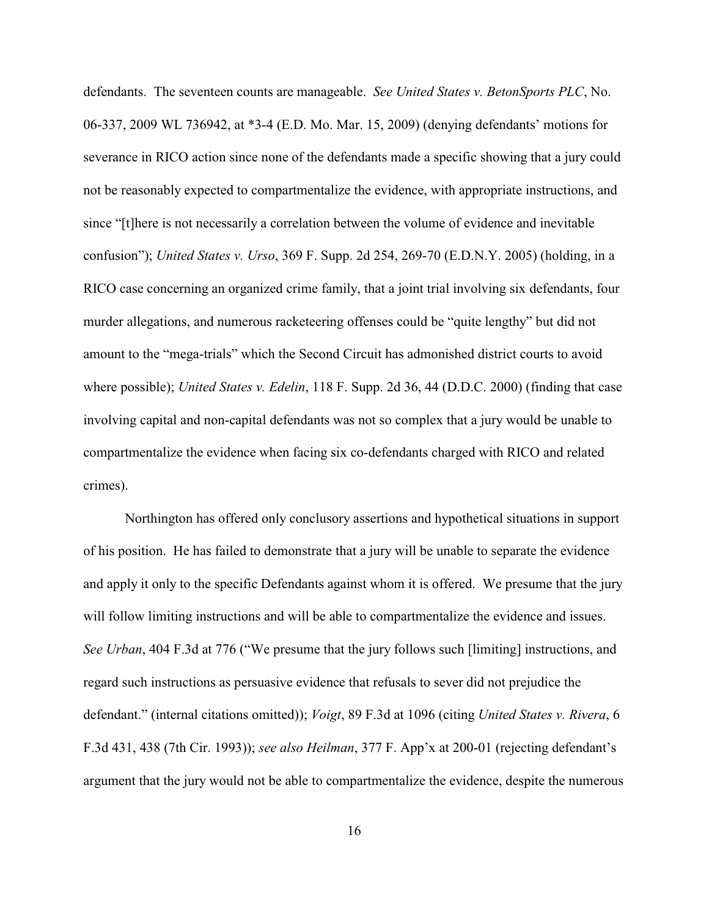defendants. The seventeen counts are manageable. *See United States v. BetonSports PLC*, No. 06-337, 2009 WL 736942, at \*3-4 (E.D. Mo. Mar. 15, 2009) (denying defendants' motions for severance in RICO action since none of the defendants made a specific showing that a jury could not be reasonably expected to compartmentalize the evidence, with appropriate instructions, and since "[t]here is not necessarily a correlation between the volume of evidence and inevitable confusion"); *United States v. Urso*, 369 F. Supp. 2d 254, 269-70 (E.D.N.Y. 2005) (holding, in a RICO case concerning an organized crime family, that a joint trial involving six defendants, four murder allegations, and numerous racketeering offenses could be "quite lengthy" but did not amount to the "mega-trials" which the Second Circuit has admonished district courts to avoid where possible); *United States v. Edelin*, 118 F. Supp. 2d 36, 44 (D.D.C. 2000) (finding that case involving capital and non-capital defendants was not so complex that a jury would be unable to compartmentalize the evidence when facing six co-defendants charged with RICO and related crimes).

Northington has offered only conclusory assertions and hypothetical situations in support of his position. He has failed to demonstrate that a jury will be unable to separate the evidence and apply it only to the specific Defendants against whom it is offered. We presume that the jury will follow limiting instructions and will be able to compartmentalize the evidence and issues. *See Urban*, 404 F.3d at 776 ("We presume that the jury follows such [limiting] instructions, and regard such instructions as persuasive evidence that refusals to sever did not prejudice the defendant." (internal citations omitted)); *Voigt*, 89 F.3d at 1096 (citing *United States v. Rivera*, 6 F.3d 431, 438 (7th Cir. 1993)); *see also Heilman*, 377 F. App'x at 200-01 (rejecting defendant's argument that the jury would not be able to compartmentalize the evidence, despite the numerous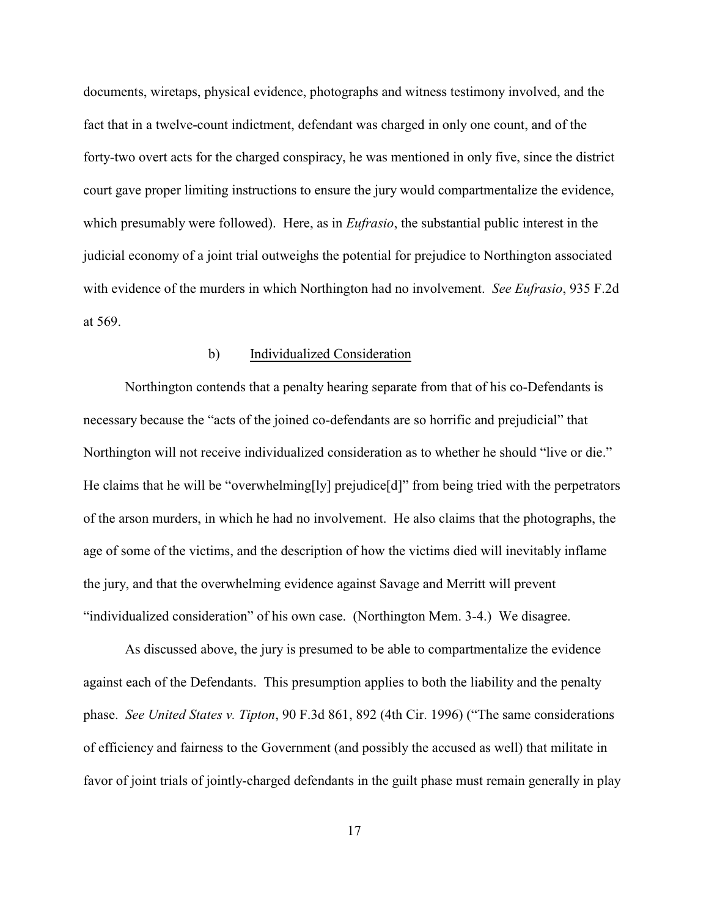documents, wiretaps, physical evidence, photographs and witness testimony involved, and the fact that in a twelve-count indictment, defendant was charged in only one count, and of the forty-two overt acts for the charged conspiracy, he was mentioned in only five, since the district court gave proper limiting instructions to ensure the jury would compartmentalize the evidence, which presumably were followed). Here, as in *Eufrasio*, the substantial public interest in the judicial economy of a joint trial outweighs the potential for prejudice to Northington associated with evidence of the murders in which Northington had no involvement. *See Eufrasio*, 935 F.2d at 569.

#### b) Individualized Consideration

Northington contends that a penalty hearing separate from that of his co-Defendants is necessary because the "acts of the joined co-defendants are so horrific and prejudicial" that Northington will not receive individualized consideration as to whether he should "live or die." He claims that he will be "overwhelming[ly] prejudice[d]" from being tried with the perpetrators of the arson murders, in which he had no involvement. He also claims that the photographs, the age of some of the victims, and the description of how the victims died will inevitably inflame the jury, and that the overwhelming evidence against Savage and Merritt will prevent "individualized consideration" of his own case. (Northington Mem. 3-4.) We disagree.

As discussed above, the jury is presumed to be able to compartmentalize the evidence against each of the Defendants. This presumption applies to both the liability and the penalty phase. *See United States v. Tipton*, 90 F.3d 861, 892 (4th Cir. 1996) ("The same considerations of efficiency and fairness to the Government (and possibly the accused as well) that militate in favor of joint trials of jointly-charged defendants in the guilt phase must remain generally in play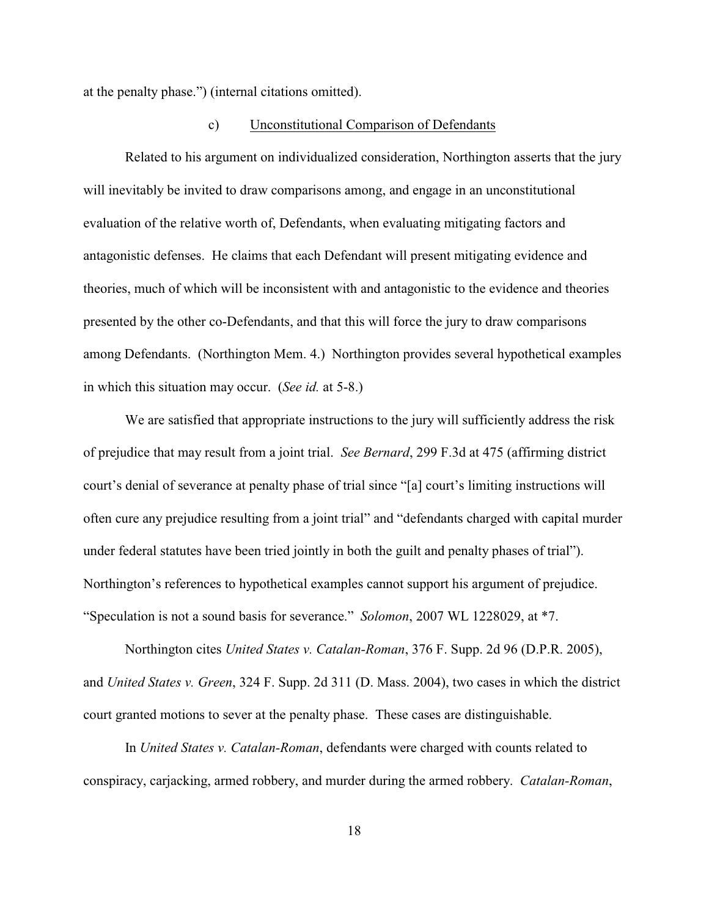at the penalty phase.") (internal citations omitted).

#### c) Unconstitutional Comparison of Defendants

Related to his argument on individualized consideration, Northington asserts that the jury will inevitably be invited to draw comparisons among, and engage in an unconstitutional evaluation of the relative worth of, Defendants, when evaluating mitigating factors and antagonistic defenses. He claims that each Defendant will present mitigating evidence and theories, much of which will be inconsistent with and antagonistic to the evidence and theories presented by the other co-Defendants, and that this will force the jury to draw comparisons among Defendants. (Northington Mem. 4.) Northington provides several hypothetical examples in which this situation may occur. (*See id.* at 5-8.)

We are satisfied that appropriate instructions to the jury will sufficiently address the risk of prejudice that may result from a joint trial. *See Bernard*, 299 F.3d at 475 (affirming district court's denial of severance at penalty phase of trial since "[a] court's limiting instructions will often cure any prejudice resulting from a joint trial" and "defendants charged with capital murder under federal statutes have been tried jointly in both the guilt and penalty phases of trial"). Northington's references to hypothetical examples cannot support his argument of prejudice. "Speculation is not a sound basis for severance." *Solomon*, 2007 WL 1228029, at \*7.

Northington cites *United States v. Catalan-Roman*, 376 F. Supp. 2d 96 (D.P.R. 2005), and *United States v. Green*, 324 F. Supp. 2d 311 (D. Mass. 2004), two cases in which the district court granted motions to sever at the penalty phase. These cases are distinguishable.

In *United States v. Catalan-Roman*, defendants were charged with counts related to conspiracy, carjacking, armed robbery, and murder during the armed robbery. *Catalan-Roman*,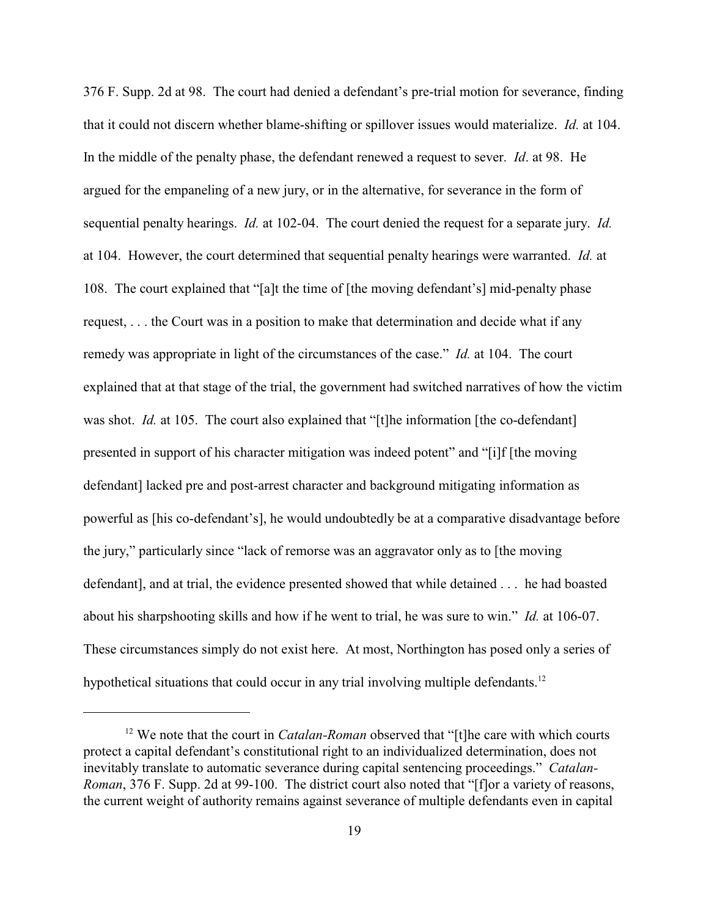376 F. Supp. 2d at 98. The court had denied a defendant's pre-trial motion for severance, finding that it could not discern whether blame-shifting or spillover issues would materialize. *Id.* at 104. In the middle of the penalty phase, the defendant renewed a request to sever. *Id*. at 98. He argued for the empaneling of a new jury, or in the alternative, for severance in the form of sequential penalty hearings. *Id.* at 102-04. The court denied the request for a separate jury. *Id.* at 104. However, the court determined that sequential penalty hearings were warranted. *Id.* at 108. The court explained that "[a]t the time of [the moving defendant's] mid-penalty phase request, . . . the Court was in a position to make that determination and decide what if any remedy was appropriate in light of the circumstances of the case." *Id.* at 104. The court explained that at that stage of the trial, the government had switched narratives of how the victim was shot. *Id.* at 105. The court also explained that "[t]he information [the co-defendant] presented in support of his character mitigation was indeed potent" and "[i]f [the moving defendant] lacked pre and post-arrest character and background mitigating information as powerful as [his co-defendant's], he would undoubtedly be at a comparative disadvantage before the jury," particularly since "lack of remorse was an aggravator only as to [the moving defendant], and at trial, the evidence presented showed that while detained . . . he had boasted about his sharpshooting skills and how if he went to trial, he was sure to win." *Id.* at 106-07. These circumstances simply do not exist here. At most, Northington has posed only a series of hypothetical situations that could occur in any trial involving multiple defendants.<sup>12</sup>

<sup>&</sup>lt;sup>12</sup> We note that the court in *Catalan-Roman* observed that "[t]he care with which courts protect a capital defendant's constitutional right to an individualized determination, does not inevitably translate to automatic severance during capital sentencing proceedings." *Catalan-Roman*, 376 F. Supp. 2d at 99-100. The district court also noted that "[f]or a variety of reasons, the current weight of authority remains against severance of multiple defendants even in capital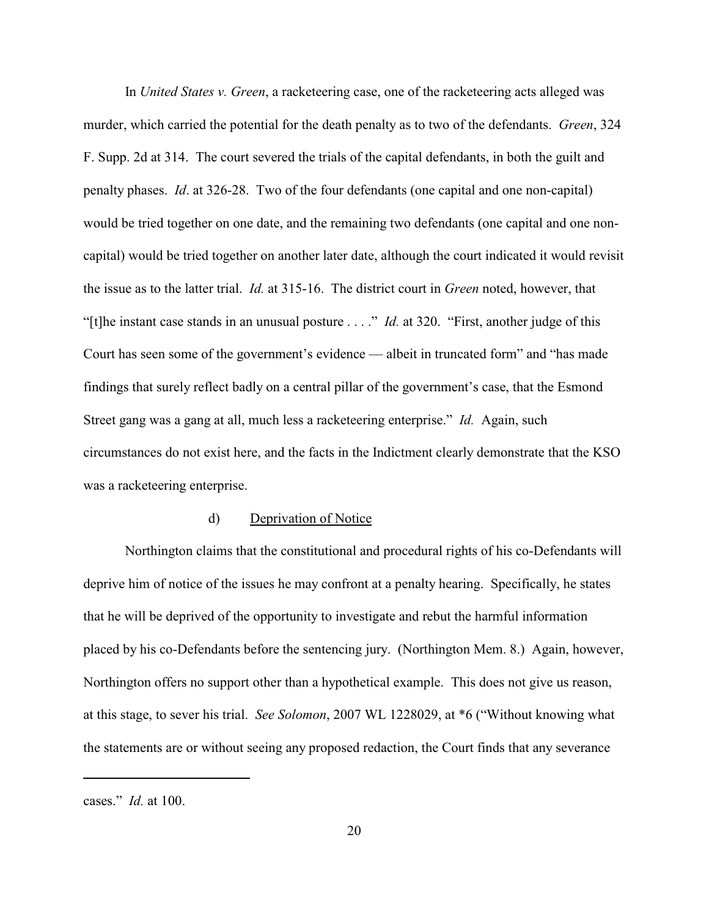In *United States v. Green*, a racketeering case, one of the racketeering acts alleged was murder, which carried the potential for the death penalty as to two of the defendants. *Green*, 324 F. Supp. 2d at 314. The court severed the trials of the capital defendants, in both the guilt and penalty phases. *Id*. at 326-28. Two of the four defendants (one capital and one non-capital) would be tried together on one date, and the remaining two defendants (one capital and one noncapital) would be tried together on another later date, although the court indicated it would revisit the issue as to the latter trial. *Id.* at 315-16. The district court in *Green* noted, however, that "[t]he instant case stands in an unusual posture . . . ." *Id.* at 320. "First, another judge of this Court has seen some of the government's evidence — albeit in truncated form" and "has made findings that surely reflect badly on a central pillar of the government's case, that the Esmond Street gang was a gang at all, much less a racketeering enterprise." *Id.* Again, such circumstances do not exist here, and the facts in the Indictment clearly demonstrate that the KSO was a racketeering enterprise.

#### d) Deprivation of Notice

Northington claims that the constitutional and procedural rights of his co-Defendants will deprive him of notice of the issues he may confront at a penalty hearing. Specifically, he states that he will be deprived of the opportunity to investigate and rebut the harmful information placed by his co-Defendants before the sentencing jury. (Northington Mem. 8.) Again, however, Northington offers no support other than a hypothetical example. This does not give us reason, at this stage, to sever his trial. *See Solomon*, 2007 WL 1228029, at \*6 ("Without knowing what the statements are or without seeing any proposed redaction, the Court finds that any severance

cases." *Id.* at 100.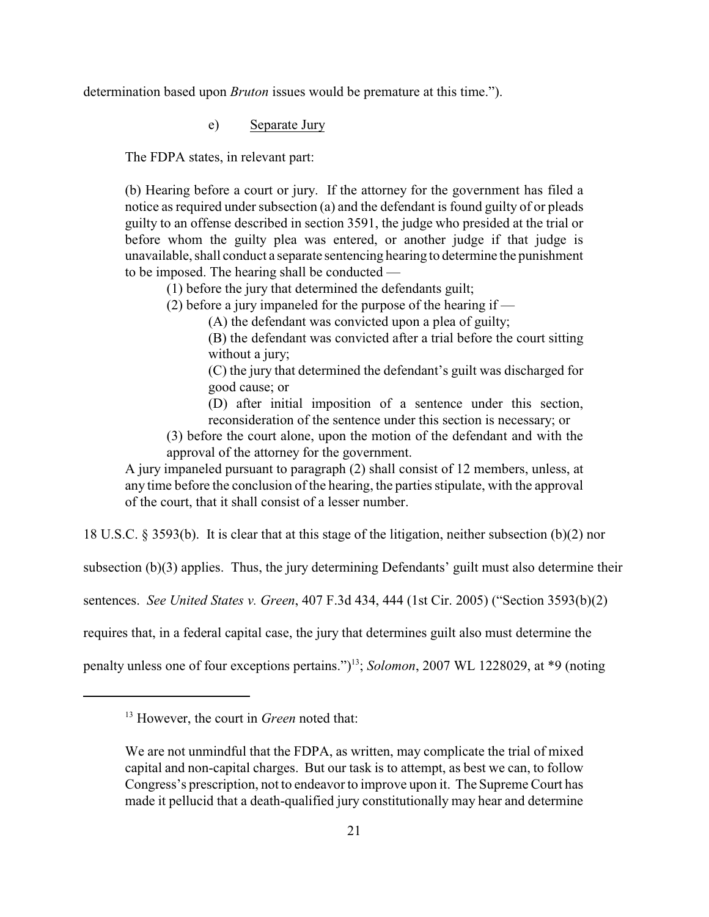determination based upon *Bruton* issues would be premature at this time.").

e) Separate Jury

The FDPA states, in relevant part:

(b) Hearing before a court or jury. If the attorney for the government has filed a notice as required under subsection (a) and the defendant is found guilty of or pleads guilty to an offense described in section 3591, the judge who presided at the trial or before whom the guilty plea was entered, or another judge if that judge is unavailable, shall conduct a separate sentencing hearing to determine the punishment to be imposed. The hearing shall be conducted —

(1) before the jury that determined the defendants guilt;

(2) before a jury impaneled for the purpose of the hearing if —

(A) the defendant was convicted upon a plea of guilty;

(B) the defendant was convicted after a trial before the court sitting without a jury;

(C) the jury that determined the defendant's guilt was discharged for good cause; or

(D) after initial imposition of a sentence under this section, reconsideration of the sentence under this section is necessary; or

(3) before the court alone, upon the motion of the defendant and with the approval of the attorney for the government.

A jury impaneled pursuant to paragraph (2) shall consist of 12 members, unless, at any time before the conclusion of the hearing, the parties stipulate, with the approval of the court, that it shall consist of a lesser number.

18 U.S.C. § 3593(b). It is clear that at this stage of the litigation, neither subsection (b)(2) nor

subsection (b)(3) applies. Thus, the jury determining Defendants' guilt must also determine their

sentences. *See United States v. Green*, 407 F.3d 434, 444 (1st Cir. 2005) ("Section 3593(b)(2)

requires that, in a federal capital case, the jury that determines guilt also must determine the

penalty unless one of four exceptions pertains.")<sup>13</sup>; *Solomon*, 2007 WL 1228029, at \*9 (noting

<sup>&</sup>lt;sup>13</sup> However, the court in *Green* noted that:

We are not unmindful that the FDPA, as written, may complicate the trial of mixed capital and non-capital charges. But our task is to attempt, as best we can, to follow Congress's prescription, not to endeavor to improve upon it. The Supreme Court has made it pellucid that a death-qualified jury constitutionally may hear and determine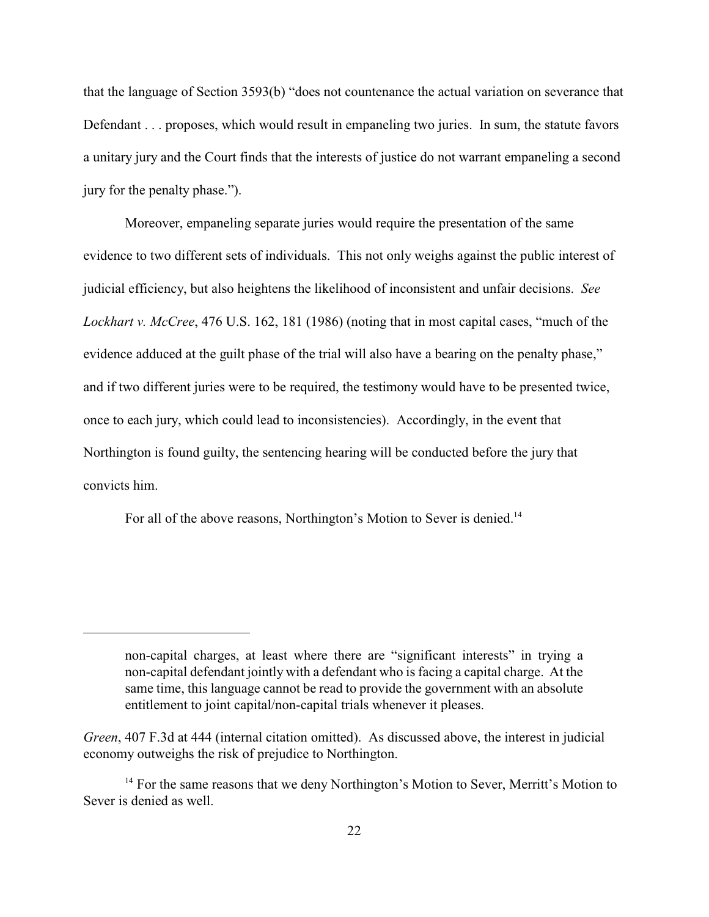that the language of Section 3593(b) "does not countenance the actual variation on severance that Defendant . . . proposes, which would result in empaneling two juries. In sum, the statute favors a unitary jury and the Court finds that the interests of justice do not warrant empaneling a second jury for the penalty phase.").

Moreover, empaneling separate juries would require the presentation of the same evidence to two different sets of individuals. This not only weighs against the public interest of judicial efficiency, but also heightens the likelihood of inconsistent and unfair decisions. *See Lockhart v. McCree*, 476 U.S. 162, 181 (1986) (noting that in most capital cases, "much of the evidence adduced at the guilt phase of the trial will also have a bearing on the penalty phase," and if two different juries were to be required, the testimony would have to be presented twice, once to each jury, which could lead to inconsistencies). Accordingly, in the event that Northington is found guilty, the sentencing hearing will be conducted before the jury that convicts him.

For all of the above reasons, Northington's Motion to Sever is denied.<sup>14</sup>

non-capital charges, at least where there are "significant interests" in trying a non-capital defendant jointly with a defendant who is facing a capital charge. At the same time, this language cannot be read to provide the government with an absolute entitlement to joint capital/non-capital trials whenever it pleases.

*Green*, 407 F.3d at 444 (internal citation omitted). As discussed above, the interest in judicial economy outweighs the risk of prejudice to Northington.

 $<sup>14</sup>$  For the same reasons that we deny Northington's Motion to Sever, Merritt's Motion to</sup> Sever is denied as well.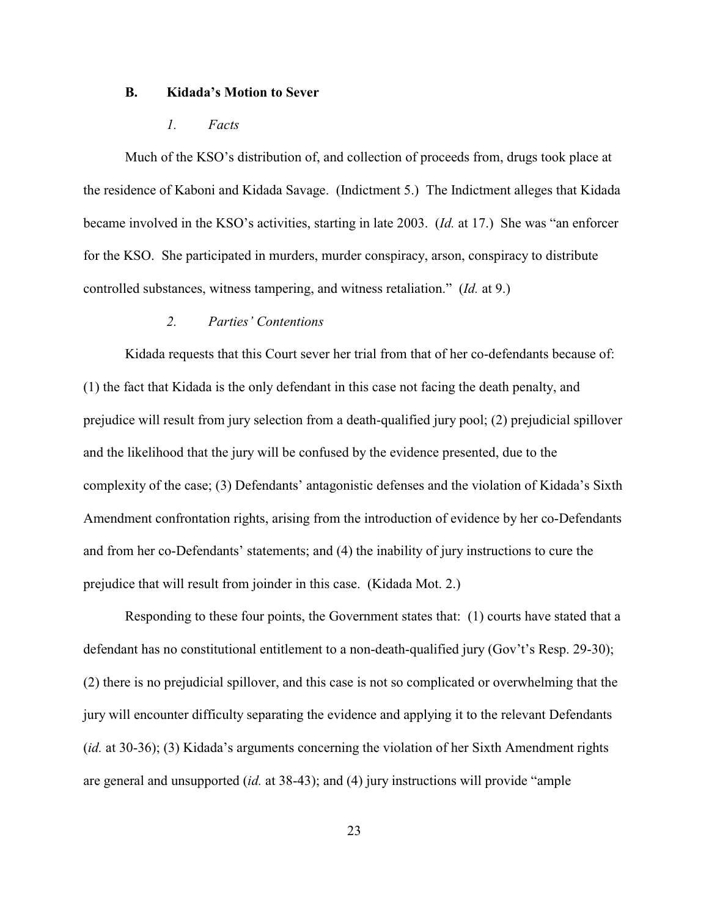#### **B. Kidada's Motion to Sever**

#### *1. Facts*

Much of the KSO's distribution of, and collection of proceeds from, drugs took place at the residence of Kaboni and Kidada Savage. (Indictment 5.) The Indictment alleges that Kidada became involved in the KSO's activities, starting in late 2003. (*Id.* at 17.) She was "an enforcer for the KSO. She participated in murders, murder conspiracy, arson, conspiracy to distribute controlled substances, witness tampering, and witness retaliation." (*Id.* at 9.)

#### *2. Parties' Contentions*

Kidada requests that this Court sever her trial from that of her co-defendants because of: (1) the fact that Kidada is the only defendant in this case not facing the death penalty, and prejudice will result from jury selection from a death-qualified jury pool; (2) prejudicial spillover and the likelihood that the jury will be confused by the evidence presented, due to the complexity of the case; (3) Defendants' antagonistic defenses and the violation of Kidada's Sixth Amendment confrontation rights, arising from the introduction of evidence by her co-Defendants and from her co-Defendants' statements; and (4) the inability of jury instructions to cure the prejudice that will result from joinder in this case. (Kidada Mot. 2.)

Responding to these four points, the Government states that: (1) courts have stated that a defendant has no constitutional entitlement to a non-death-qualified jury (Gov't's Resp. 29-30); (2) there is no prejudicial spillover, and this case is not so complicated or overwhelming that the jury will encounter difficulty separating the evidence and applying it to the relevant Defendants (*id.* at 30-36); (3) Kidada's arguments concerning the violation of her Sixth Amendment rights are general and unsupported (*id.* at 38-43); and (4) jury instructions will provide "ample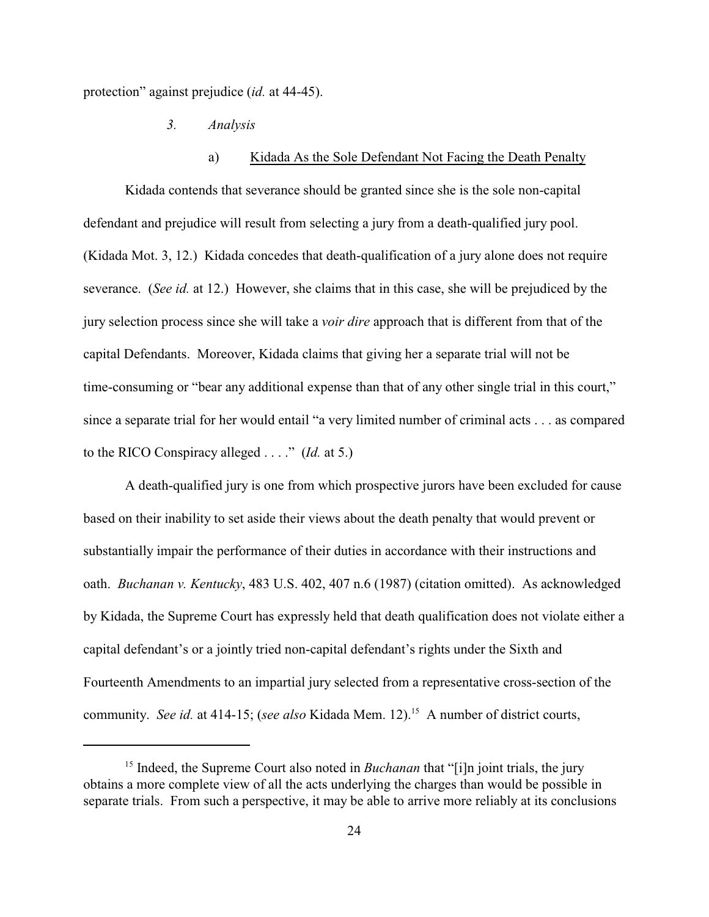protection" against prejudice (*id.* at 44-45).

*3. Analysis*

#### a) Kidada As the Sole Defendant Not Facing the Death Penalty

Kidada contends that severance should be granted since she is the sole non-capital defendant and prejudice will result from selecting a jury from a death-qualified jury pool. (Kidada Mot. 3, 12.) Kidada concedes that death-qualification of a jury alone does not require severance. (*See id.* at 12.) However, she claims that in this case, she will be prejudiced by the jury selection process since she will take a *voir dire* approach that is different from that of the capital Defendants. Moreover, Kidada claims that giving her a separate trial will not be time-consuming or "bear any additional expense than that of any other single trial in this court," since a separate trial for her would entail "a very limited number of criminal acts . . . as compared to the RICO Conspiracy alleged . . . ." (*Id.* at 5.)

A death-qualified jury is one from which prospective jurors have been excluded for cause based on their inability to set aside their views about the death penalty that would prevent or substantially impair the performance of their duties in accordance with their instructions and oath. *Buchanan v. Kentucky*, 483 U.S. 402, 407 n.6 (1987) (citation omitted). As acknowledged by Kidada, the Supreme Court has expressly held that death qualification does not violate either a capital defendant's or a jointly tried non-capital defendant's rights under the Sixth and Fourteenth Amendments to an impartial jury selected from a representative cross-section of the community. *See id.* at 414-15; (*see also* Kidada Mem. 12).<sup>15</sup> A number of district courts,

<sup>&</sup>lt;sup>15</sup> Indeed, the Supreme Court also noted in *Buchanan* that "[i]n joint trials, the jury obtains a more complete view of all the acts underlying the charges than would be possible in separate trials. From such a perspective, it may be able to arrive more reliably at its conclusions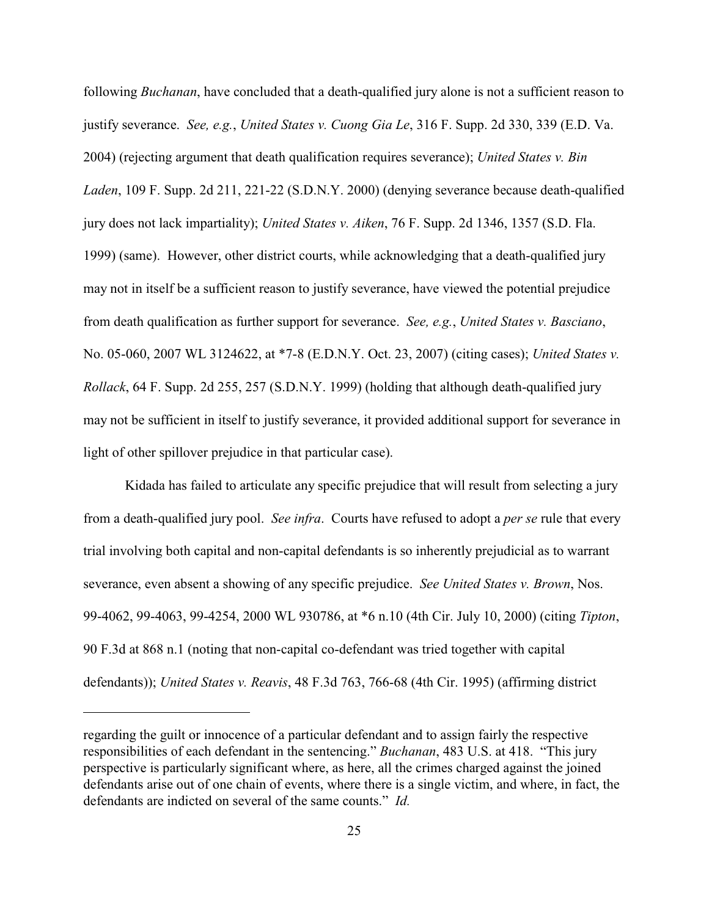following *Buchanan*, have concluded that a death-qualified jury alone is not a sufficient reason to justify severance. *See, e.g.*, *United States v. Cuong Gia Le*, 316 F. Supp. 2d 330, 339 (E.D. Va. 2004) (rejecting argument that death qualification requires severance); *United States v. Bin Laden*, 109 F. Supp. 2d 211, 221-22 (S.D.N.Y. 2000) (denying severance because death-qualified jury does not lack impartiality); *United States v. Aiken*, 76 F. Supp. 2d 1346, 1357 (S.D. Fla. 1999) (same). However, other district courts, while acknowledging that a death-qualified jury may not in itself be a sufficient reason to justify severance, have viewed the potential prejudice from death qualification as further support for severance. *See, e.g.*, *United States v. Basciano*, No. 05-060, 2007 WL 3124622, at \*7-8 (E.D.N.Y. Oct. 23, 2007) (citing cases); *United States v. Rollack*, 64 F. Supp. 2d 255, 257 (S.D.N.Y. 1999) (holding that although death-qualified jury may not be sufficient in itself to justify severance, it provided additional support for severance in light of other spillover prejudice in that particular case).

Kidada has failed to articulate any specific prejudice that will result from selecting a jury from a death-qualified jury pool. *See infra*. Courts have refused to adopt a *per se* rule that every trial involving both capital and non-capital defendants is so inherently prejudicial as to warrant severance, even absent a showing of any specific prejudice. *See United States v. Brown*, Nos. 99-4062, 99-4063, 99-4254, 2000 WL 930786, at \*6 n.10 (4th Cir. July 10, 2000) (citing *Tipton*, 90 F.3d at 868 n.1 (noting that non-capital co-defendant was tried together with capital defendants)); *United States v. Reavis*, 48 F.3d 763, 766-68 (4th Cir. 1995) (affirming district

regarding the guilt or innocence of a particular defendant and to assign fairly the respective responsibilities of each defendant in the sentencing." *Buchanan*, 483 U.S. at 418. "This jury perspective is particularly significant where, as here, all the crimes charged against the joined defendants arise out of one chain of events, where there is a single victim, and where, in fact, the defendants are indicted on several of the same counts." *Id.*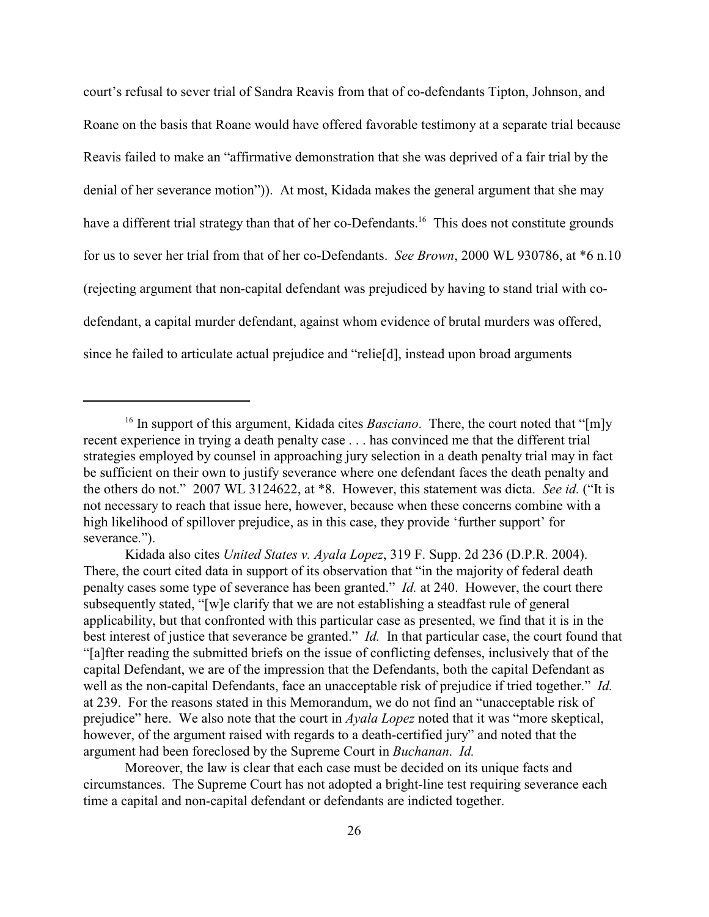court's refusal to sever trial of Sandra Reavis from that of co-defendants Tipton, Johnson, and Roane on the basis that Roane would have offered favorable testimony at a separate trial because Reavis failed to make an "affirmative demonstration that she was deprived of a fair trial by the denial of her severance motion")). At most, Kidada makes the general argument that she may have a different trial strategy than that of her co-Defendants.<sup>16</sup> This does not constitute grounds for us to sever her trial from that of her co-Defendants. *See Brown*, 2000 WL 930786, at \*6 n.10 (rejecting argument that non-capital defendant was prejudiced by having to stand trial with codefendant, a capital murder defendant, against whom evidence of brutal murders was offered, since he failed to articulate actual prejudice and "relie[d], instead upon broad arguments

Moreover, the law is clear that each case must be decided on its unique facts and circumstances. The Supreme Court has not adopted a bright-line test requiring severance each time a capital and non-capital defendant or defendants are indicted together.

<sup>&</sup>lt;sup>16</sup> In support of this argument, Kidada cites *Basciano*. There, the court noted that "[m]y recent experience in trying a death penalty case . . . has convinced me that the different trial strategies employed by counsel in approaching jury selection in a death penalty trial may in fact be sufficient on their own to justify severance where one defendant faces the death penalty and the others do not." 2007 WL 3124622, at \*8. However, this statement was dicta. *See id.* ("It is not necessary to reach that issue here, however, because when these concerns combine with a high likelihood of spillover prejudice, as in this case, they provide 'further support' for severance.").

Kidada also cites *United States v. Ayala Lopez*, 319 F. Supp. 2d 236 (D.P.R. 2004). There, the court cited data in support of its observation that "in the majority of federal death penalty cases some type of severance has been granted." *Id.* at 240. However, the court there subsequently stated, "[w]e clarify that we are not establishing a steadfast rule of general applicability, but that confronted with this particular case as presented, we find that it is in the best interest of justice that severance be granted." *Id.* In that particular case, the court found that "[a]fter reading the submitted briefs on the issue of conflicting defenses, inclusively that of the capital Defendant, we are of the impression that the Defendants, both the capital Defendant as well as the non-capital Defendants, face an unacceptable risk of prejudice if tried together." *Id.* at 239. For the reasons stated in this Memorandum, we do not find an "unacceptable risk of prejudice" here. We also note that the court in *Ayala Lopez* noted that it was "more skeptical, however, of the argument raised with regards to a death-certified jury" and noted that the argument had been foreclosed by the Supreme Court in *Buchanan*. *Id.*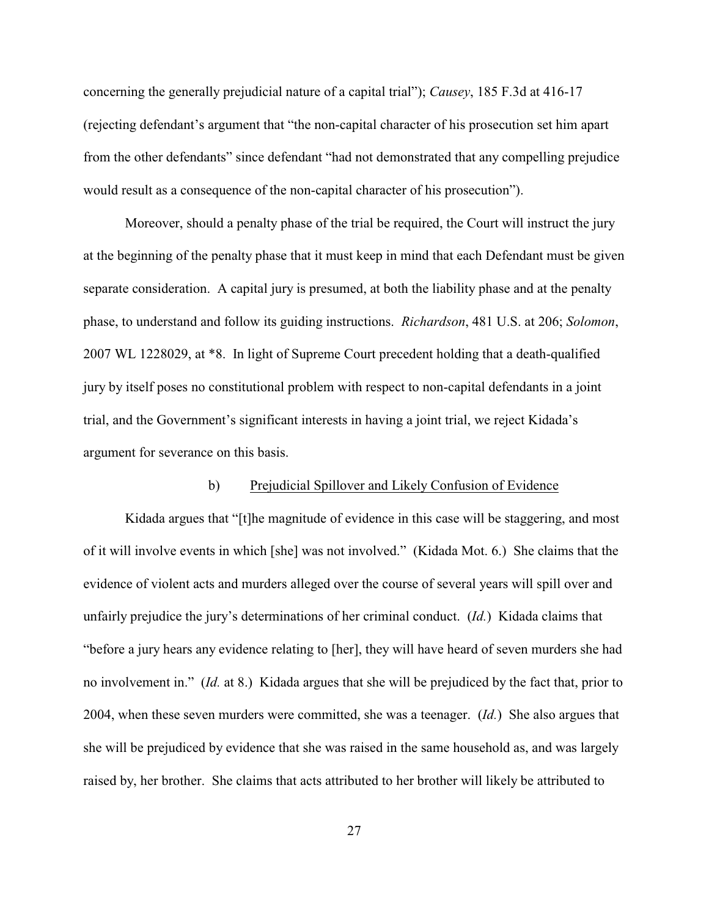concerning the generally prejudicial nature of a capital trial"); *Causey*, 185 F.3d at 416-17 (rejecting defendant's argument that "the non-capital character of his prosecution set him apart from the other defendants" since defendant "had not demonstrated that any compelling prejudice would result as a consequence of the non-capital character of his prosecution").

Moreover, should a penalty phase of the trial be required, the Court will instruct the jury at the beginning of the penalty phase that it must keep in mind that each Defendant must be given separate consideration. A capital jury is presumed, at both the liability phase and at the penalty phase, to understand and follow its guiding instructions. *Richardson*, 481 U.S. at 206; *Solomon*, 2007 WL 1228029, at \*8. In light of Supreme Court precedent holding that a death-qualified jury by itself poses no constitutional problem with respect to non-capital defendants in a joint trial, and the Government's significant interests in having a joint trial, we reject Kidada's argument for severance on this basis.

#### b) Prejudicial Spillover and Likely Confusion of Evidence

Kidada argues that "[t]he magnitude of evidence in this case will be staggering, and most of it will involve events in which [she] was not involved." (Kidada Mot. 6.) She claims that the evidence of violent acts and murders alleged over the course of several years will spill over and unfairly prejudice the jury's determinations of her criminal conduct. (*Id.*) Kidada claims that "before a jury hears any evidence relating to [her], they will have heard of seven murders she had no involvement in." (*Id.* at 8.) Kidada argues that she will be prejudiced by the fact that, prior to 2004, when these seven murders were committed, she was a teenager. (*Id.*) She also argues that she will be prejudiced by evidence that she was raised in the same household as, and was largely raised by, her brother. She claims that acts attributed to her brother will likely be attributed to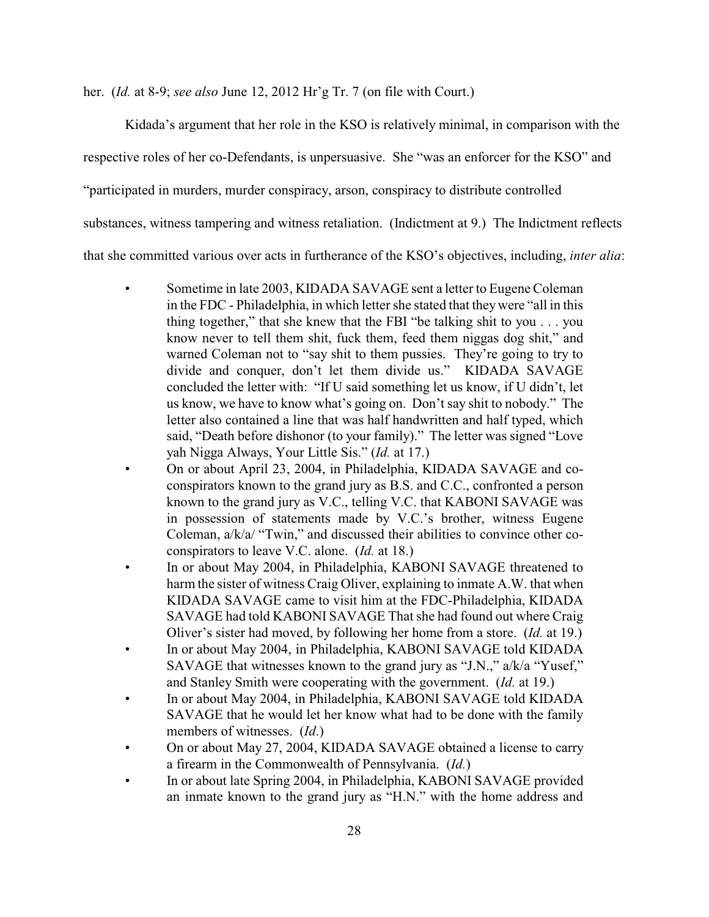her. (*Id.* at 8-9; *see also* June 12, 2012 Hr'g Tr. 7 (on file with Court.)

Kidada's argument that her role in the KSO is relatively minimal, in comparison with the

respective roles of her co-Defendants, is unpersuasive. She "was an enforcer for the KSO" and

"participated in murders, murder conspiracy, arson, conspiracy to distribute controlled

substances, witness tampering and witness retaliation. (Indictment at 9.) The Indictment reflects

that she committed various over acts in furtherance of the KSO's objectives, including, *inter alia*:

- Sometime in late 2003, KIDADA SAVAGE sent a letter to Eugene Coleman in the FDC - Philadelphia, in which letter she stated that theywere "all in this thing together," that she knew that the FBI "be talking shit to you . . . you know never to tell them shit, fuck them, feed them niggas dog shit," and warned Coleman not to "say shit to them pussies. They're going to try to divide and conquer, don't let them divide us." KIDADA SAVAGE concluded the letter with: "If U said something let us know, if U didn't, let us know, we have to know what's going on. Don't say shit to nobody." The letter also contained a line that was half handwritten and half typed, which said, "Death before dishonor (to your family)." The letter was signed "Love yah Nigga Always, Your Little Sis." (*Id.* at 17.)
- On or about April 23, 2004, in Philadelphia, KIDADA SAVAGE and coconspirators known to the grand jury as B.S. and C.C., confronted a person known to the grand jury as V.C., telling V.C. that KABONI SAVAGE was in possession of statements made by V.C.'s brother, witness Eugene Coleman, a/k/a/ "Twin," and discussed their abilities to convince other coconspirators to leave V.C. alone. (*Id.* at 18.)
- In or about May 2004, in Philadelphia, KABONI SAVAGE threatened to harm the sister of witness Craig Oliver, explaining to inmate A.W. that when KIDADA SAVAGE came to visit him at the FDC-Philadelphia, KIDADA SAVAGE had told KABONI SAVAGE That she had found out where Craig Oliver's sister had moved, by following her home from a store. (*Id.* at 19.)
- In or about May 2004, in Philadelphia, KABONI SAVAGE told KIDADA SAVAGE that witnesses known to the grand jury as "J.N.," a/k/a "Yusef," and Stanley Smith were cooperating with the government. (*Id.* at 19.)
- In or about May 2004, in Philadelphia, KABONI SAVAGE told KIDADA SAVAGE that he would let her know what had to be done with the family members of witnesses. (*Id*.)
- On or about May 27, 2004, KIDADA SAVAGE obtained a license to carry a firearm in the Commonwealth of Pennsylvania. (*Id.*)
- In or about late Spring 2004, in Philadelphia, KABONI SAVAGE provided an inmate known to the grand jury as "H.N." with the home address and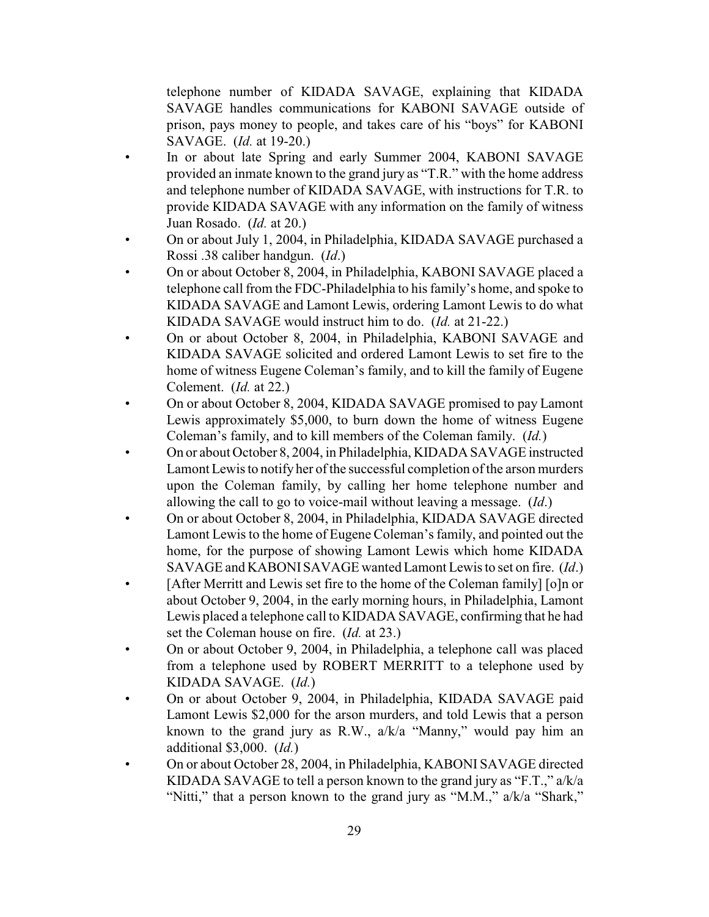telephone number of KIDADA SAVAGE, explaining that KIDADA SAVAGE handles communications for KABONI SAVAGE outside of prison, pays money to people, and takes care of his "boys" for KABONI SAVAGE. (*Id.* at 19-20.)

- In or about late Spring and early Summer 2004, KABONI SAVAGE provided an inmate known to the grand jury as "T.R." with the home address and telephone number of KIDADA SAVAGE, with instructions for T.R. to provide KIDADA SAVAGE with any information on the family of witness Juan Rosado. (*Id.* at 20.)
- On or about July 1, 2004, in Philadelphia, KIDADA SAVAGE purchased a Rossi .38 caliber handgun. (*Id*.)
- On or about October 8, 2004, in Philadelphia, KABONI SAVAGE placed a telephone call from the FDC-Philadelphia to his family's home, and spoke to KIDADA SAVAGE and Lamont Lewis, ordering Lamont Lewis to do what KIDADA SAVAGE would instruct him to do. (*Id.* at 21-22.)
- On or about October 8, 2004, in Philadelphia, KABONI SAVAGE and KIDADA SAVAGE solicited and ordered Lamont Lewis to set fire to the home of witness Eugene Coleman's family, and to kill the family of Eugene Colement. (*Id.* at 22.)
- On or about October 8, 2004, KIDADA SAVAGE promised to pay Lamont Lewis approximately \$5,000, to burn down the home of witness Eugene Coleman's family, and to kill members of the Coleman family. (*Id.*)
- On or about October 8, 2004, in Philadelphia, KIDADA SAVAGE instructed Lamont Lewis to notify her of the successful completion of the arson murders upon the Coleman family, by calling her home telephone number and allowing the call to go to voice-mail without leaving a message. (*Id*.)
- On or about October 8, 2004, in Philadelphia, KIDADA SAVAGE directed Lamont Lewis to the home of Eugene Coleman's family, and pointed out the home, for the purpose of showing Lamont Lewis which home KIDADA SAVAGE and KABONISAVAGE wanted Lamont Lewis to set on fire. (*Id*.)
- [After Merritt and Lewis set fire to the home of the Coleman family] [o]n or about October 9, 2004, in the early morning hours, in Philadelphia, Lamont Lewis placed a telephone call to KIDADA SAVAGE, confirming that he had set the Coleman house on fire. (*Id.* at 23.)
- On or about October 9, 2004, in Philadelphia, a telephone call was placed from a telephone used by ROBERT MERRITT to a telephone used by KIDADA SAVAGE. (*Id.*)
- On or about October 9, 2004, in Philadelphia, KIDADA SAVAGE paid Lamont Lewis \$2,000 for the arson murders, and told Lewis that a person known to the grand jury as R.W., a/k/a "Manny," would pay him an additional \$3,000. (*Id.*)
- On or about October 28, 2004, in Philadelphia, KABONI SAVAGE directed KIDADA SAVAGE to tell a person known to the grand jury as "F.T.," a/k/a "Nitti," that a person known to the grand jury as "M.M.," a/k/a "Shark,"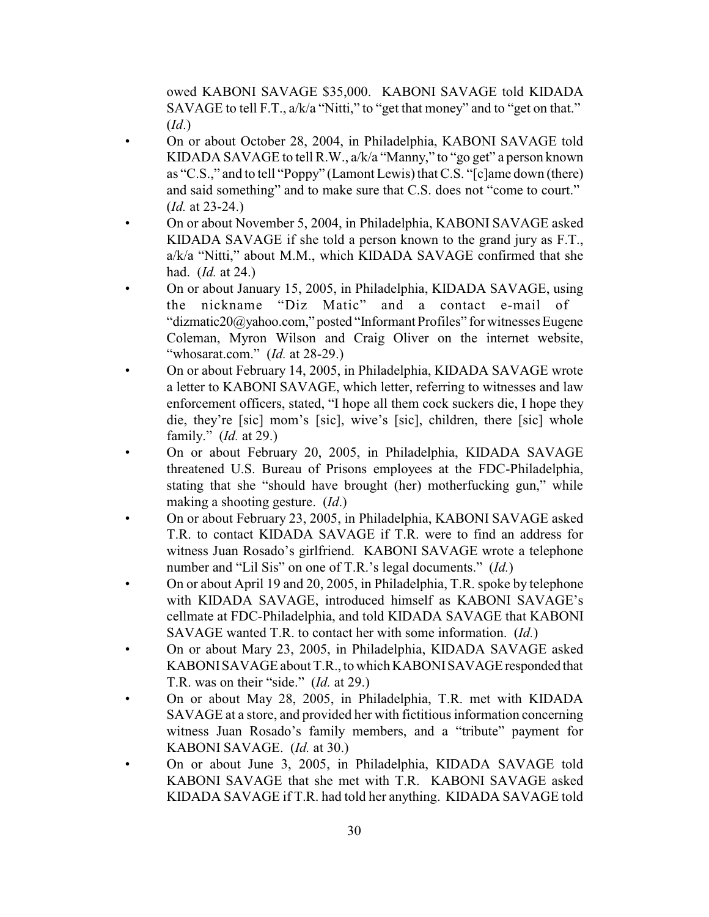owed KABONI SAVAGE \$35,000. KABONI SAVAGE told KIDADA SAVAGE to tell F.T., a/k/a "Nitti," to "get that money" and to "get on that." (*Id*.)

- On or about October 28, 2004, in Philadelphia, KABONI SAVAGE told KIDADA SAVAGE to tell R.W., a/k/a "Manny," to "go get" a person known as "C.S.," and to tell "Poppy" (Lamont Lewis) that C.S. "[c]ame down (there) and said something" and to make sure that C.S. does not "come to court." (*Id.* at 23-24.)
- On or about November 5, 2004, in Philadelphia, KABONI SAVAGE asked KIDADA SAVAGE if she told a person known to the grand jury as F.T., a/k/a "Nitti," about M.M., which KIDADA SAVAGE confirmed that she had. (*Id.* at 24.)
- On or about January 15, 2005, in Philadelphia, KIDADA SAVAGE, using the nickname "Diz Matic" and a contact e-mail of "dizmatic20@yahoo.com," posted "Informant Profiles" for witnesses Eugene Coleman, Myron Wilson and Craig Oliver on the internet website, "whosarat.com." (*Id.* at 28-29.)
- On or about February 14, 2005, in Philadelphia, KIDADA SAVAGE wrote a letter to KABONI SAVAGE, which letter, referring to witnesses and law enforcement officers, stated, "I hope all them cock suckers die, I hope they die, they're [sic] mom's [sic], wive's [sic], children, there [sic] whole family." (*Id.* at 29.)
- On or about February 20, 2005, in Philadelphia, KIDADA SAVAGE threatened U.S. Bureau of Prisons employees at the FDC-Philadelphia, stating that she "should have brought (her) motherfucking gun," while making a shooting gesture. (*Id*.)
- On or about February 23, 2005, in Philadelphia, KABONI SAVAGE asked T.R. to contact KIDADA SAVAGE if T.R. were to find an address for witness Juan Rosado's girlfriend. KABONI SAVAGE wrote a telephone number and "Lil Sis" on one of T.R.'s legal documents." (*Id.*)
- On or about April 19 and 20, 2005, in Philadelphia, T.R. spoke by telephone with KIDADA SAVAGE, introduced himself as KABONI SAVAGE's cellmate at FDC-Philadelphia, and told KIDADA SAVAGE that KABONI SAVAGE wanted T.R. to contact her with some information. (*Id.*)
- On or about Mary 23, 2005, in Philadelphia, KIDADA SAVAGE asked KABONISAVAGE about T.R., to which KABONISAVAGEresponded that T.R. was on their "side." (*Id.* at 29.)
- On or about May 28, 2005, in Philadelphia, T.R. met with KIDADA SAVAGE at a store, and provided her with fictitious information concerning witness Juan Rosado's family members, and a "tribute" payment for KABONI SAVAGE. (*Id.* at 30.)
- On or about June 3, 2005, in Philadelphia, KIDADA SAVAGE told KABONI SAVAGE that she met with T.R. KABONI SAVAGE asked KIDADA SAVAGE if T.R. had told her anything. KIDADA SAVAGE told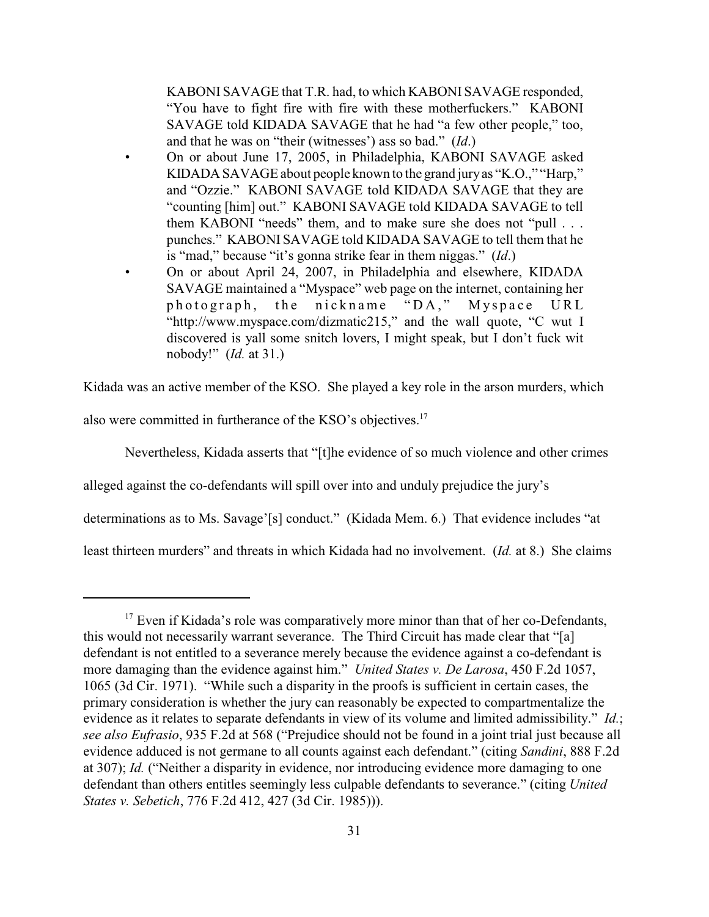KABONI SAVAGE that T.R. had, to which KABONI SAVAGE responded, "You have to fight fire with fire with these motherfuckers." KABONI SAVAGE told KIDADA SAVAGE that he had "a few other people," too, and that he was on "their (witnesses') ass so bad." (*Id*.)

- On or about June 17, 2005, in Philadelphia, KABONI SAVAGE asked KIDADA SAVAGE about people known to the grand jury as "K.O.," "Harp," and "Ozzie." KABONI SAVAGE told KIDADA SAVAGE that they are "counting [him] out." KABONI SAVAGE told KIDADA SAVAGE to tell them KABONI "needs" them, and to make sure she does not "pull . . . punches." KABONI SAVAGE told KIDADA SAVAGE to tell them that he is "mad," because "it's gonna strike fear in them niggas." (*Id*.)
- On or about April 24, 2007, in Philadelphia and elsewhere, KIDADA SAVAGE maintained a "Myspace" web page on the internet, containing her photograph, the nickname "DA," Myspace URL "http://www.myspace.com/dizmatic215," and the wall quote, "C wut I discovered is yall some snitch lovers, I might speak, but I don't fuck wit nobody!" (*Id.* at 31.)

Kidada was an active member of the KSO. She played a key role in the arson murders, which

also were committed in furtherance of the KSO's objectives.<sup>17</sup>

Nevertheless, Kidada asserts that "[t]he evidence of so much violence and other crimes

alleged against the co-defendants will spill over into and unduly prejudice the jury's

determinations as to Ms. Savage'[s] conduct." (Kidada Mem. 6.) That evidence includes "at

least thirteen murders" and threats in which Kidada had no involvement. (*Id.* at 8.) She claims

 $17$  Even if Kidada's role was comparatively more minor than that of her co-Defendants, this would not necessarily warrant severance. The Third Circuit has made clear that "[a] defendant is not entitled to a severance merely because the evidence against a co-defendant is more damaging than the evidence against him." *United States v. De Larosa*, 450 F.2d 1057, 1065 (3d Cir. 1971). "While such a disparity in the proofs is sufficient in certain cases, the primary consideration is whether the jury can reasonably be expected to compartmentalize the evidence as it relates to separate defendants in view of its volume and limited admissibility." *Id.*; *see also Eufrasio*, 935 F.2d at 568 ("Prejudice should not be found in a joint trial just because all evidence adduced is not germane to all counts against each defendant." (citing *Sandini*, 888 F.2d at 307); *Id.* ("Neither a disparity in evidence, nor introducing evidence more damaging to one defendant than others entitles seemingly less culpable defendants to severance." (citing *United States v. Sebetich*, 776 F.2d 412, 427 (3d Cir. 1985))).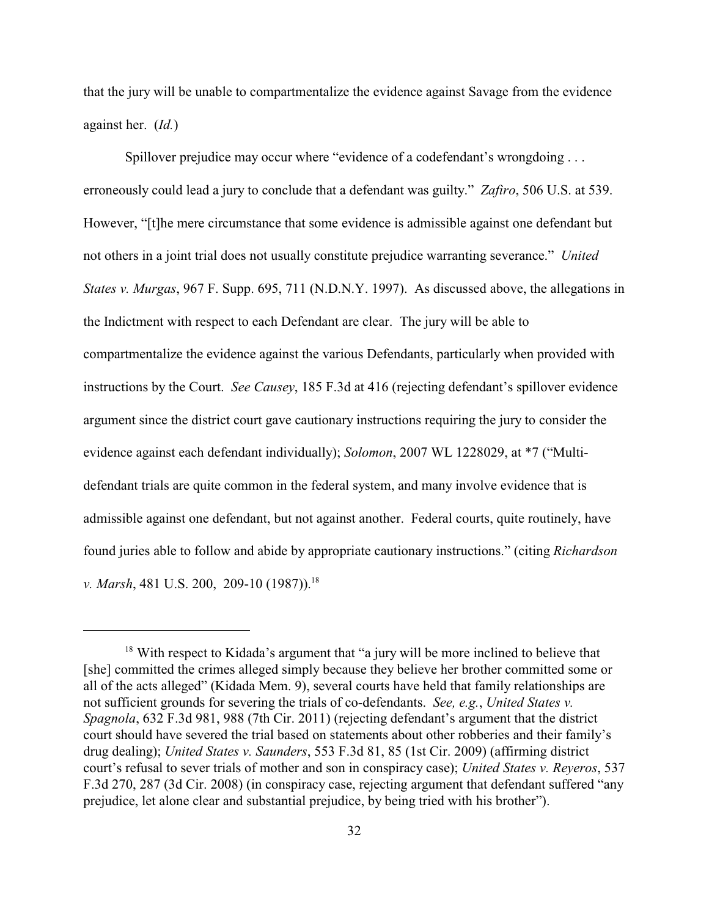that the jury will be unable to compartmentalize the evidence against Savage from the evidence against her. (*Id.*)

Spillover prejudice may occur where "evidence of a codefendant's wrongdoing . . . erroneously could lead a jury to conclude that a defendant was guilty." *Zafiro*, 506 U.S. at 539. However, "[t]he mere circumstance that some evidence is admissible against one defendant but not others in a joint trial does not usually constitute prejudice warranting severance." *United States v. Murgas*, 967 F. Supp. 695, 711 (N.D.N.Y. 1997). As discussed above, the allegations in the Indictment with respect to each Defendant are clear. The jury will be able to compartmentalize the evidence against the various Defendants, particularly when provided with instructions by the Court. *See Causey*, 185 F.3d at 416 (rejecting defendant's spillover evidence argument since the district court gave cautionary instructions requiring the jury to consider the evidence against each defendant individually); *Solomon*, 2007 WL 1228029, at \*7 ("Multidefendant trials are quite common in the federal system, and many involve evidence that is admissible against one defendant, but not against another. Federal courts, quite routinely, have found juries able to follow and abide by appropriate cautionary instructions." (citing *Richardson v. Marsh*, 481 U.S. 200, 209-10 (1987)). 18

 $18$  With respect to Kidada's argument that "a jury will be more inclined to believe that [she] committed the crimes alleged simply because they believe her brother committed some or all of the acts alleged" (Kidada Mem. 9), several courts have held that family relationships are not sufficient grounds for severing the trials of co-defendants. *See, e.g.*, *United States v. Spagnola*, 632 F.3d 981, 988 (7th Cir. 2011) (rejecting defendant's argument that the district court should have severed the trial based on statements about other robberies and their family's drug dealing); *United States v. Saunders*, 553 F.3d 81, 85 (1st Cir. 2009) (affirming district court's refusal to sever trials of mother and son in conspiracy case); *United States v. Reyeros*, 537 F.3d 270, 287 (3d Cir. 2008) (in conspiracy case, rejecting argument that defendant suffered "any prejudice, let alone clear and substantial prejudice, by being tried with his brother").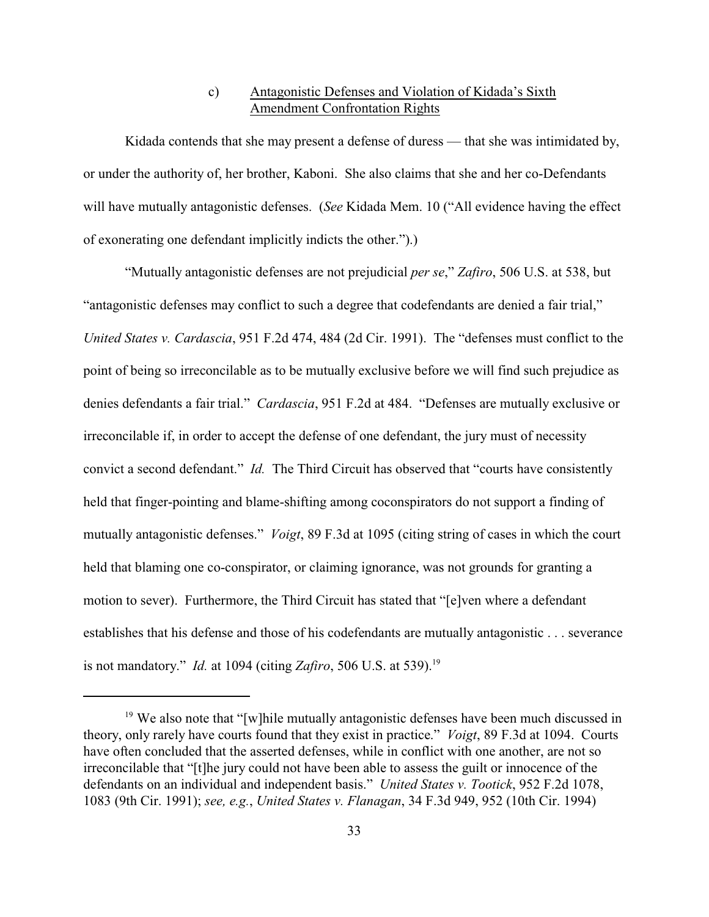## c) Antagonistic Defenses and Violation of Kidada's Sixth Amendment Confrontation Rights

Kidada contends that she may present a defense of duress — that she was intimidated by, or under the authority of, her brother, Kaboni. She also claims that she and her co-Defendants will have mutually antagonistic defenses. (*See* Kidada Mem. 10 ("All evidence having the effect of exonerating one defendant implicitly indicts the other.").)

"Mutually antagonistic defenses are not prejudicial *per se*," *Zafiro*, 506 U.S. at 538, but "antagonistic defenses may conflict to such a degree that codefendants are denied a fair trial," *United States v. Cardascia*, 951 F.2d 474, 484 (2d Cir. 1991). The "defenses must conflict to the point of being so irreconcilable as to be mutually exclusive before we will find such prejudice as denies defendants a fair trial." *Cardascia*, 951 F.2d at 484. "Defenses are mutually exclusive or irreconcilable if, in order to accept the defense of one defendant, the jury must of necessity convict a second defendant." *Id.* The Third Circuit has observed that "courts have consistently held that finger-pointing and blame-shifting among coconspirators do not support a finding of mutually antagonistic defenses." *Voigt*, 89 F.3d at 1095 (citing string of cases in which the court held that blaming one co-conspirator, or claiming ignorance, was not grounds for granting a motion to sever). Furthermore, the Third Circuit has stated that "[e]ven where a defendant establishes that his defense and those of his codefendants are mutually antagonistic . . . severance is not mandatory." *Id.* at 1094 (citing *Zafiro*, 506 U.S. at 539).<sup>19</sup>

 $19$  We also note that "[w]hile mutually antagonistic defenses have been much discussed in theory, only rarely have courts found that they exist in practice." *Voigt*, 89 F.3d at 1094. Courts have often concluded that the asserted defenses, while in conflict with one another, are not so irreconcilable that "[t]he jury could not have been able to assess the guilt or innocence of the defendants on an individual and independent basis." *United States v. Tootick*, 952 F.2d 1078, 1083 (9th Cir. 1991); *see, e.g.*, *United States v. Flanagan*, 34 F.3d 949, 952 (10th Cir. 1994)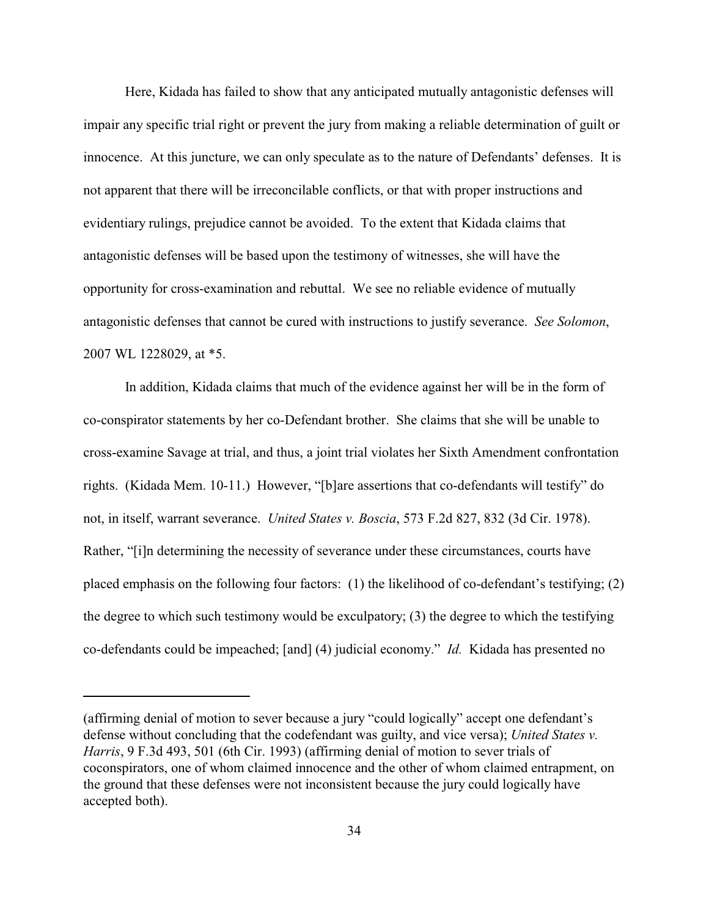Here, Kidada has failed to show that any anticipated mutually antagonistic defenses will impair any specific trial right or prevent the jury from making a reliable determination of guilt or innocence. At this juncture, we can only speculate as to the nature of Defendants' defenses. It is not apparent that there will be irreconcilable conflicts, or that with proper instructions and evidentiary rulings, prejudice cannot be avoided. To the extent that Kidada claims that antagonistic defenses will be based upon the testimony of witnesses, she will have the opportunity for cross-examination and rebuttal. We see no reliable evidence of mutually antagonistic defenses that cannot be cured with instructions to justify severance. *See Solomon*, 2007 WL 1228029, at \*5.

In addition, Kidada claims that much of the evidence against her will be in the form of co-conspirator statements by her co-Defendant brother. She claims that she will be unable to cross-examine Savage at trial, and thus, a joint trial violates her Sixth Amendment confrontation rights. (Kidada Mem. 10-11.) However, "[b]are assertions that co-defendants will testify" do not, in itself, warrant severance. *United States v. Boscia*, 573 F.2d 827, 832 (3d Cir. 1978). Rather, "[i]n determining the necessity of severance under these circumstances, courts have placed emphasis on the following four factors: (1) the likelihood of co-defendant's testifying; (2) the degree to which such testimony would be exculpatory; (3) the degree to which the testifying co-defendants could be impeached; [and] (4) judicial economy." *Id.* Kidada has presented no

<sup>(</sup>affirming denial of motion to sever because a jury "could logically" accept one defendant's defense without concluding that the codefendant was guilty, and vice versa); *United States v. Harris*, 9 F.3d 493, 501 (6th Cir. 1993) (affirming denial of motion to sever trials of coconspirators, one of whom claimed innocence and the other of whom claimed entrapment, on the ground that these defenses were not inconsistent because the jury could logically have accepted both).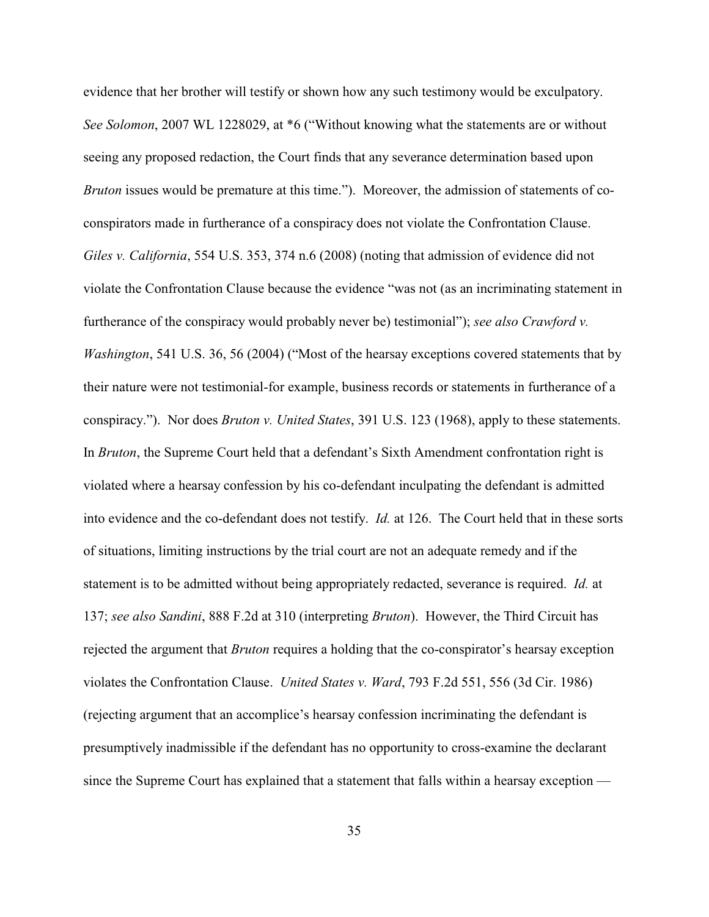evidence that her brother will testify or shown how any such testimony would be exculpatory. *See Solomon*, 2007 WL 1228029, at \*6 ("Without knowing what the statements are or without seeing any proposed redaction, the Court finds that any severance determination based upon *Bruton* issues would be premature at this time."). Moreover, the admission of statements of coconspirators made in furtherance of a conspiracy does not violate the Confrontation Clause. *Giles v. California*, 554 U.S. 353, 374 n.6 (2008) (noting that admission of evidence did not violate the Confrontation Clause because the evidence "was not (as an incriminating statement in furtherance of the conspiracy would probably never be) testimonial"); *see also Crawford v. Washington*, 541 U.S. 36, 56 (2004) ("Most of the hearsay exceptions covered statements that by their nature were not testimonial-for example, business records or statements in furtherance of a conspiracy."). Nor does *Bruton v. United States*, 391 U.S. 123 (1968), apply to these statements. In *Bruton*, the Supreme Court held that a defendant's Sixth Amendment confrontation right is violated where a hearsay confession by his co-defendant inculpating the defendant is admitted into evidence and the co-defendant does not testify. *Id.* at 126. The Court held that in these sorts of situations, limiting instructions by the trial court are not an adequate remedy and if the statement is to be admitted without being appropriately redacted, severance is required. *Id.* at 137; *see also Sandini*, 888 F.2d at 310 (interpreting *Bruton*). However, the Third Circuit has rejected the argument that *Bruton* requires a holding that the co-conspirator's hearsay exception violates the Confrontation Clause. *United States v. Ward*, 793 F.2d 551, 556 (3d Cir. 1986) (rejecting argument that an accomplice's hearsay confession incriminating the defendant is presumptively inadmissible if the defendant has no opportunity to cross-examine the declarant since the Supreme Court has explained that a statement that falls within a hearsay exception —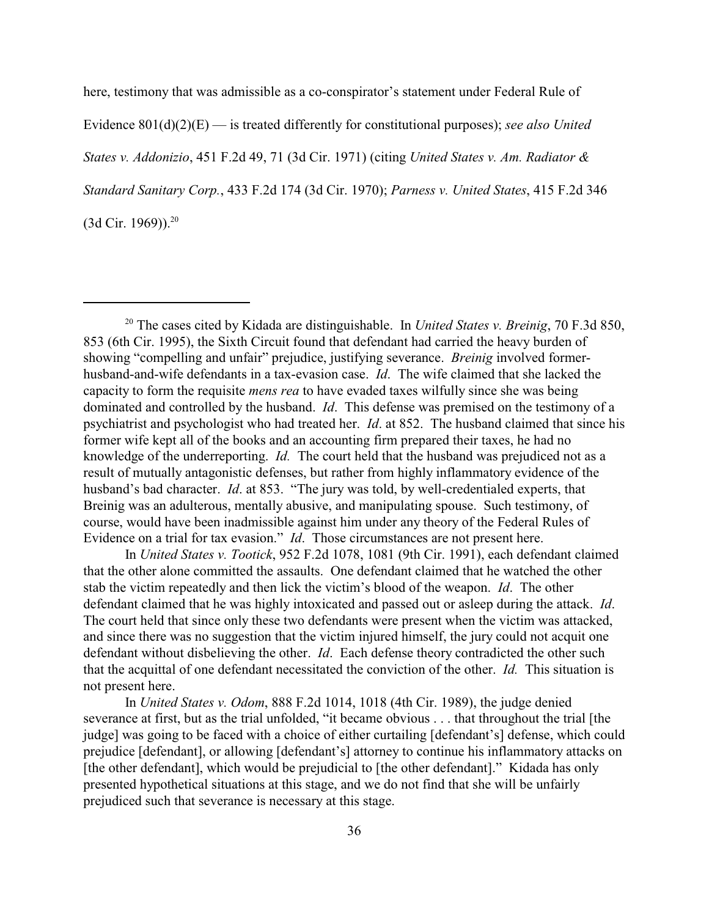here, testimony that was admissible as a co-conspirator's statement under Federal Rule of Evidence 801(d)(2)(E) — is treated differently for constitutional purposes); *see also United States v. Addonizio*, 451 F.2d 49, 71 (3d Cir. 1971) (citing *United States v. Am. Radiator & Standard Sanitary Corp.*, 433 F.2d 174 (3d Cir. 1970); *Parness v. United States*, 415 F.2d 346  $(3d$  Cir. 1969)).<sup>20</sup>

In *United States v. Tootick*, 952 F.2d 1078, 1081 (9th Cir. 1991), each defendant claimed that the other alone committed the assaults. One defendant claimed that he watched the other stab the victim repeatedly and then lick the victim's blood of the weapon. *Id*. The other defendant claimed that he was highly intoxicated and passed out or asleep during the attack. *Id*. The court held that since only these two defendants were present when the victim was attacked, and since there was no suggestion that the victim injured himself, the jury could not acquit one defendant without disbelieving the other. *Id*. Each defense theory contradicted the other such that the acquittal of one defendant necessitated the conviction of the other. *Id.* This situation is not present here.

In *United States v. Odom*, 888 F.2d 1014, 1018 (4th Cir. 1989), the judge denied severance at first, but as the trial unfolded, "it became obvious . . . that throughout the trial [the judge] was going to be faced with a choice of either curtailing [defendant's] defense, which could prejudice [defendant], or allowing [defendant's] attorney to continue his inflammatory attacks on [the other defendant], which would be prejudicial to [the other defendant]." Kidada has only presented hypothetical situations at this stage, and we do not find that she will be unfairly prejudiced such that severance is necessary at this stage.

<sup>&</sup>lt;sup>20</sup> The cases cited by Kidada are distinguishable. In *United States v. Breinig*, 70 F.3d 850, 853 (6th Cir. 1995), the Sixth Circuit found that defendant had carried the heavy burden of showing "compelling and unfair" prejudice, justifying severance. *Breinig* involved formerhusband-and-wife defendants in a tax-evasion case. *Id*. The wife claimed that she lacked the capacity to form the requisite *mens rea* to have evaded taxes wilfully since she was being dominated and controlled by the husband. *Id*. This defense was premised on the testimony of a psychiatrist and psychologist who had treated her. *Id*. at 852. The husband claimed that since his former wife kept all of the books and an accounting firm prepared their taxes, he had no knowledge of the underreporting. *Id.* The court held that the husband was prejudiced not as a result of mutually antagonistic defenses, but rather from highly inflammatory evidence of the husband's bad character. *Id*. at 853. "The jury was told, by well-credentialed experts, that Breinig was an adulterous, mentally abusive, and manipulating spouse. Such testimony, of course, would have been inadmissible against him under any theory of the Federal Rules of Evidence on a trial for tax evasion." *Id*. Those circumstances are not present here.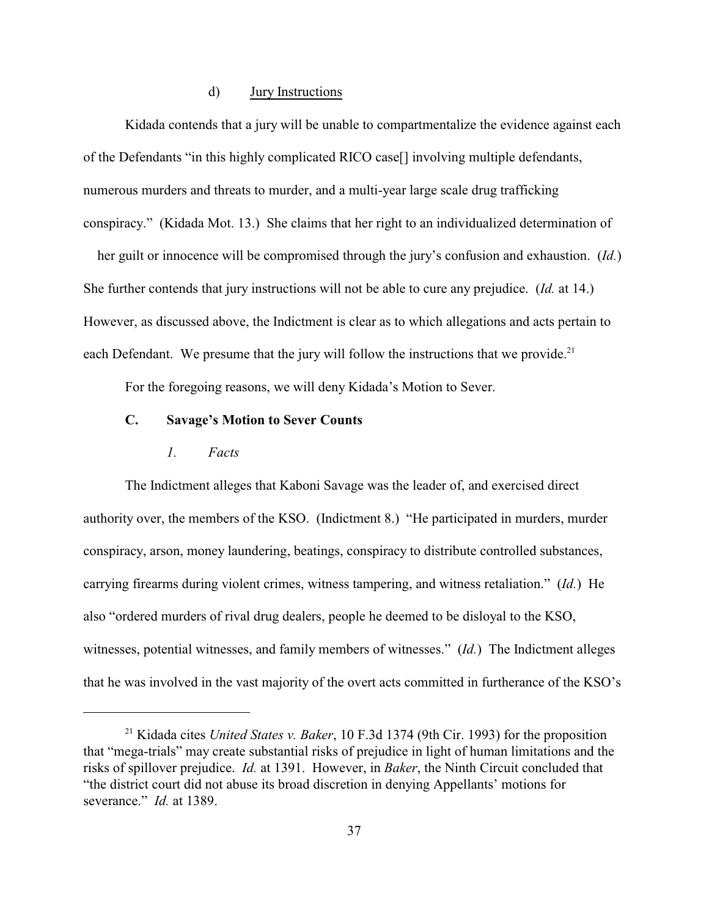### d) Jury Instructions

Kidada contends that a jury will be unable to compartmentalize the evidence against each of the Defendants "in this highly complicated RICO case[] involving multiple defendants, numerous murders and threats to murder, and a multi-year large scale drug trafficking conspiracy." (Kidada Mot. 13.) She claims that her right to an individualized determination of

 her guilt or innocence will be compromised through the jury's confusion and exhaustion. (*Id.*) She further contends that jury instructions will not be able to cure any prejudice. (*Id.* at 14.) However, as discussed above, the Indictment is clear as to which allegations and acts pertain to each Defendant. We presume that the jury will follow the instructions that we provide.<sup>21</sup>

For the foregoing reasons, we will deny Kidada's Motion to Sever.

## **C. Savage's Motion to Sever Counts**

### *1. Facts*

The Indictment alleges that Kaboni Savage was the leader of, and exercised direct authority over, the members of the KSO. (Indictment 8.) "He participated in murders, murder conspiracy, arson, money laundering, beatings, conspiracy to distribute controlled substances, carrying firearms during violent crimes, witness tampering, and witness retaliation." (*Id.*) He also "ordered murders of rival drug dealers, people he deemed to be disloyal to the KSO, witnesses, potential witnesses, and family members of witnesses." (*Id.*) The Indictment alleges that he was involved in the vast majority of the overt acts committed in furtherance of the KSO's

<sup>&</sup>lt;sup>21</sup> Kidada cites *United States v. Baker*, 10 F.3d 1374 (9th Cir. 1993) for the proposition that "mega-trials" may create substantial risks of prejudice in light of human limitations and the risks of spillover prejudice. *Id.* at 1391. However, in *Baker*, the Ninth Circuit concluded that "the district court did not abuse its broad discretion in denying Appellants' motions for severance." *Id.* at 1389.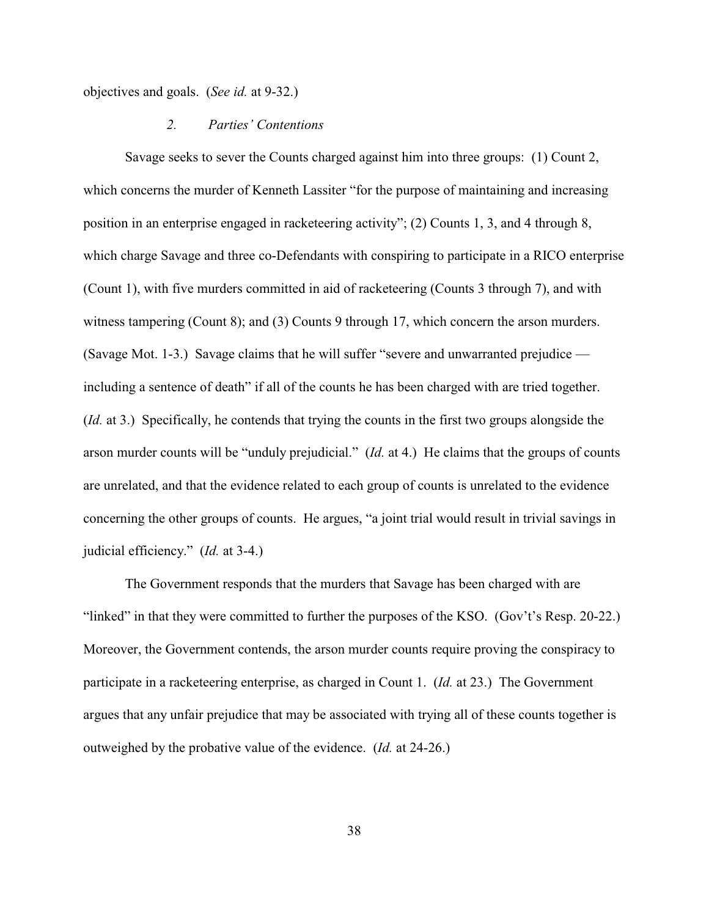objectives and goals. (*See id.* at 9-32.)

#### *2. Parties' Contentions*

Savage seeks to sever the Counts charged against him into three groups: (1) Count 2, which concerns the murder of Kenneth Lassiter "for the purpose of maintaining and increasing position in an enterprise engaged in racketeering activity"; (2) Counts 1, 3, and 4 through 8, which charge Savage and three co-Defendants with conspiring to participate in a RICO enterprise (Count 1), with five murders committed in aid of racketeering (Counts 3 through 7), and with witness tampering (Count 8); and (3) Counts 9 through 17, which concern the arson murders. (Savage Mot. 1-3.) Savage claims that he will suffer "severe and unwarranted prejudice including a sentence of death" if all of the counts he has been charged with are tried together. (*Id.* at 3.) Specifically, he contends that trying the counts in the first two groups alongside the arson murder counts will be "unduly prejudicial." (*Id.* at 4.) He claims that the groups of counts are unrelated, and that the evidence related to each group of counts is unrelated to the evidence concerning the other groups of counts. He argues, "a joint trial would result in trivial savings in judicial efficiency." (*Id.* at 3-4.)

The Government responds that the murders that Savage has been charged with are "linked" in that they were committed to further the purposes of the KSO. (Gov't's Resp. 20-22.) Moreover, the Government contends, the arson murder counts require proving the conspiracy to participate in a racketeering enterprise, as charged in Count 1. (*Id.* at 23.) The Government argues that any unfair prejudice that may be associated with trying all of these counts together is outweighed by the probative value of the evidence. (*Id.* at 24-26.)

38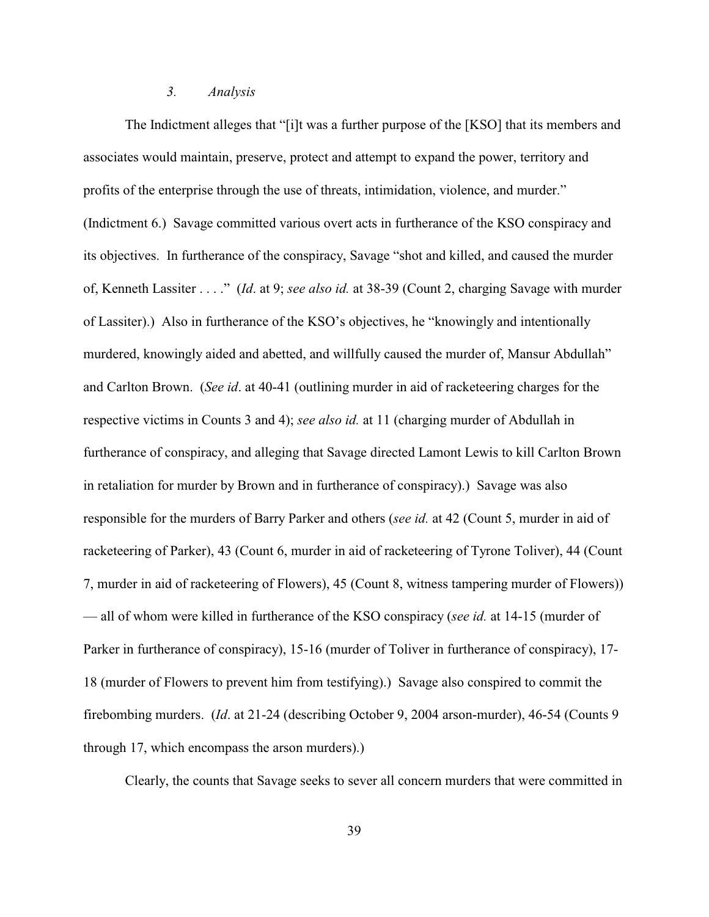#### *3. Analysis*

The Indictment alleges that "[i]t was a further purpose of the [KSO] that its members and associates would maintain, preserve, protect and attempt to expand the power, territory and profits of the enterprise through the use of threats, intimidation, violence, and murder." (Indictment 6.) Savage committed various overt acts in furtherance of the KSO conspiracy and its objectives. In furtherance of the conspiracy, Savage "shot and killed, and caused the murder of, Kenneth Lassiter . . . ." (*Id*. at 9; *see also id.* at 38-39 (Count 2, charging Savage with murder of Lassiter).) Also in furtherance of the KSO's objectives, he "knowingly and intentionally murdered, knowingly aided and abetted, and willfully caused the murder of, Mansur Abdullah" and Carlton Brown. (*See id*. at 40-41 (outlining murder in aid of racketeering charges for the respective victims in Counts 3 and 4); *see also id.* at 11 (charging murder of Abdullah in furtherance of conspiracy, and alleging that Savage directed Lamont Lewis to kill Carlton Brown in retaliation for murder by Brown and in furtherance of conspiracy).) Savage was also responsible for the murders of Barry Parker and others (*see id.* at 42 (Count 5, murder in aid of racketeering of Parker), 43 (Count 6, murder in aid of racketeering of Tyrone Toliver), 44 (Count 7, murder in aid of racketeering of Flowers), 45 (Count 8, witness tampering murder of Flowers)) — all of whom were killed in furtherance of the KSO conspiracy (*see id.* at 14-15 (murder of Parker in furtherance of conspiracy), 15-16 (murder of Toliver in furtherance of conspiracy), 17- 18 (murder of Flowers to prevent him from testifying).) Savage also conspired to commit the firebombing murders. (*Id*. at 21-24 (describing October 9, 2004 arson-murder), 46-54 (Counts 9 through 17, which encompass the arson murders).)

Clearly, the counts that Savage seeks to sever all concern murders that were committed in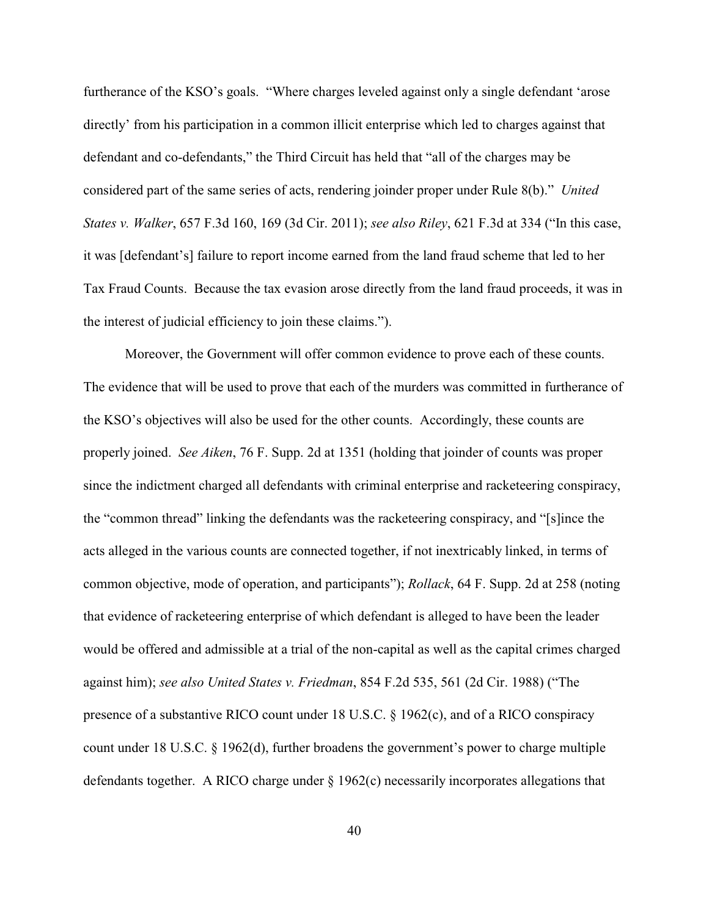furtherance of the KSO's goals. "Where charges leveled against only a single defendant 'arose directly' from his participation in a common illicit enterprise which led to charges against that defendant and co-defendants," the Third Circuit has held that "all of the charges may be considered part of the same series of acts, rendering joinder proper under Rule 8(b)." *United States v. Walker*, 657 F.3d 160, 169 (3d Cir. 2011); *see also Riley*, 621 F.3d at 334 ("In this case, it was [defendant's] failure to report income earned from the land fraud scheme that led to her Tax Fraud Counts. Because the tax evasion arose directly from the land fraud proceeds, it was in the interest of judicial efficiency to join these claims.").

Moreover, the Government will offer common evidence to prove each of these counts. The evidence that will be used to prove that each of the murders was committed in furtherance of the KSO's objectives will also be used for the other counts. Accordingly, these counts are properly joined. *See Aiken*, 76 F. Supp. 2d at 1351 (holding that joinder of counts was proper since the indictment charged all defendants with criminal enterprise and racketeering conspiracy, the "common thread" linking the defendants was the racketeering conspiracy, and "[s]ince the acts alleged in the various counts are connected together, if not inextricably linked, in terms of common objective, mode of operation, and participants"); *Rollack*, 64 F. Supp. 2d at 258 (noting that evidence of racketeering enterprise of which defendant is alleged to have been the leader would be offered and admissible at a trial of the non-capital as well as the capital crimes charged against him); *see also United States v. Friedman*, 854 F.2d 535, 561 (2d Cir. 1988) ("The presence of a substantive RICO count under 18 U.S.C. § 1962(c), and of a RICO conspiracy count under 18 U.S.C. § 1962(d), further broadens the government's power to charge multiple defendants together. A RICO charge under § 1962(c) necessarily incorporates allegations that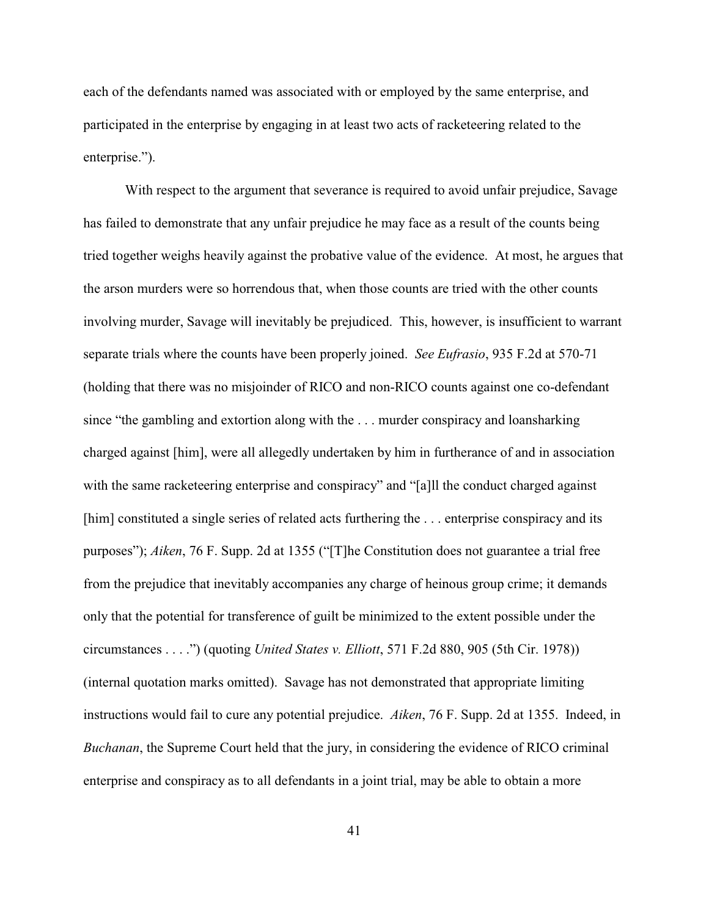each of the defendants named was associated with or employed by the same enterprise, and participated in the enterprise by engaging in at least two acts of racketeering related to the enterprise.").

With respect to the argument that severance is required to avoid unfair prejudice, Savage has failed to demonstrate that any unfair prejudice he may face as a result of the counts being tried together weighs heavily against the probative value of the evidence. At most, he argues that the arson murders were so horrendous that, when those counts are tried with the other counts involving murder, Savage will inevitably be prejudiced. This, however, is insufficient to warrant separate trials where the counts have been properly joined. *See Eufrasio*, 935 F.2d at 570-71 (holding that there was no misjoinder of RICO and non-RICO counts against one co-defendant since "the gambling and extortion along with the . . . murder conspiracy and loansharking charged against [him], were all allegedly undertaken by him in furtherance of and in association with the same racketeering enterprise and conspiracy" and "[a]ll the conduct charged against [him] constituted a single series of related acts furthering the . . . enterprise conspiracy and its purposes"); *Aiken*, 76 F. Supp. 2d at 1355 ("[T]he Constitution does not guarantee a trial free from the prejudice that inevitably accompanies any charge of heinous group crime; it demands only that the potential for transference of guilt be minimized to the extent possible under the circumstances . . . .") (quoting *United States v. Elliott*, 571 F.2d 880, 905 (5th Cir. 1978)) (internal quotation marks omitted). Savage has not demonstrated that appropriate limiting instructions would fail to cure any potential prejudice. *Aiken*, 76 F. Supp. 2d at 1355. Indeed, in *Buchanan*, the Supreme Court held that the jury, in considering the evidence of RICO criminal enterprise and conspiracy as to all defendants in a joint trial, may be able to obtain a more